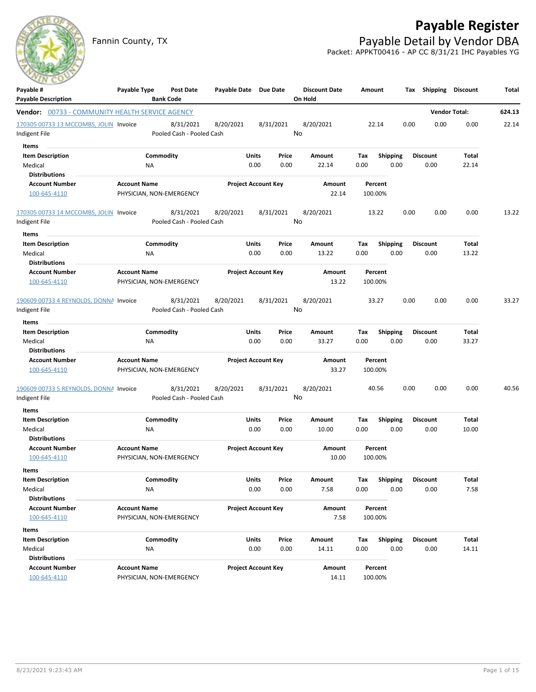# **Payable Register**

Fannin County, TX **Payable Detail by Vendor DBA** Packet: APPKT00416 - AP CC 8/31/21 IHC Payables YG



| Payable #<br><b>Payable Description</b>                | Payable Type        |           | Post Date<br><b>Bank Code</b> | Payable Date Due Date |                            |           | <b>Discount Date</b><br>On Hold | Amount |                 | Tax  | Shipping        | Discount             | Total  |
|--------------------------------------------------------|---------------------|-----------|-------------------------------|-----------------------|----------------------------|-----------|---------------------------------|--------|-----------------|------|-----------------|----------------------|--------|
| <b>Vendor:</b> 00733 - COMMUNITY HEALTH SERVICE AGENCY |                     |           |                               |                       |                            |           |                                 |        |                 |      |                 | <b>Vendor Total:</b> | 624.13 |
| 170305 00733 13 MCCOMBS, JOLIN Invoice                 |                     |           | 8/31/2021                     | 8/20/2021             |                            | 8/31/2021 | 8/20/2021                       |        | 22.14           | 0.00 | 0.00            | 0.00                 | 22.14  |
| Indigent File                                          |                     |           | Pooled Cash - Pooled Cash     |                       |                            |           | No                              |        |                 |      |                 |                      |        |
| Items                                                  |                     |           |                               |                       |                            |           |                                 |        |                 |      |                 |                      |        |
| <b>Item Description</b>                                |                     | Commodity |                               |                       | Units                      | Price     | Amount                          | Tax    | Shipping        |      | Discount        | Total                |        |
| Medical                                                |                     | NA        |                               |                       | 0.00                       | 0.00      | 22.14                           | 0.00   | 0.00            |      | 0.00            | 22.14                |        |
| <b>Distributions</b>                                   |                     |           |                               |                       |                            |           |                                 |        |                 |      |                 |                      |        |
| <b>Account Number</b>                                  | <b>Account Name</b> |           |                               |                       | <b>Project Account Key</b> |           | Amount                          |        | Percent         |      |                 |                      |        |
| 100-645-4110                                           |                     |           | PHYSICIAN, NON-EMERGENCY      |                       |                            |           | 22.14                           |        | 100.00%         |      |                 |                      |        |
| 170305 00733 14 MCCOMBS, JOLIN Invoice                 |                     |           | 8/31/2021                     | 8/20/2021             |                            | 8/31/2021 | 8/20/2021                       |        | 13.22           | 0.00 | 0.00            | 0.00                 | 13.22  |
| Indigent File                                          |                     |           | Pooled Cash - Pooled Cash     |                       |                            |           | No                              |        |                 |      |                 |                      |        |
| Items                                                  |                     |           |                               |                       |                            |           |                                 |        |                 |      |                 |                      |        |
| <b>Item Description</b>                                |                     | Commodity |                               |                       | Units                      | Price     | Amount                          | Tax    | <b>Shipping</b> |      | Discount        | Total                |        |
| Medical                                                |                     | ΝA        |                               |                       | 0.00                       | 0.00      | 13.22                           | 0.00   | 0.00            |      | 0.00            | 13.22                |        |
| <b>Distributions</b>                                   |                     |           |                               |                       |                            |           |                                 |        |                 |      |                 |                      |        |
| <b>Account Number</b>                                  | <b>Account Name</b> |           |                               |                       | <b>Project Account Key</b> |           | Amount                          |        | Percent         |      |                 |                      |        |
| 100-645-4110                                           |                     |           | PHYSICIAN, NON-EMERGENCY      |                       |                            |           | 13.22                           |        | 100.00%         |      |                 |                      |        |
| 190609 00733 4 REYNOLDS, DONNA Invoice                 |                     |           | 8/31/2021                     | 8/20/2021             |                            | 8/31/2021 | 8/20/2021                       |        | 33.27           | 0.00 | 0.00            | 0.00                 | 33.27  |
| Indigent File                                          |                     |           | Pooled Cash - Pooled Cash     |                       |                            |           | No                              |        |                 |      |                 |                      |        |
| Items                                                  |                     |           |                               |                       |                            |           |                                 |        |                 |      |                 |                      |        |
| <b>Item Description</b>                                |                     | Commodity |                               |                       | Units                      | Price     | Amount                          | Tax    | <b>Shipping</b> |      | <b>Discount</b> | Total                |        |
| Medical                                                |                     | NA        |                               |                       | 0.00                       | 0.00      | 33.27                           | 0.00   | 0.00            |      | 0.00            | 33.27                |        |
| <b>Distributions</b>                                   |                     |           |                               |                       |                            |           |                                 |        |                 |      |                 |                      |        |
| <b>Account Number</b>                                  | <b>Account Name</b> |           |                               |                       | <b>Project Account Key</b> |           | Amount                          |        | Percent         |      |                 |                      |        |
| 100-645-4110                                           |                     |           | PHYSICIAN, NON-EMERGENCY      |                       |                            |           | 33.27                           |        | 100.00%         |      |                 |                      |        |
| 190609 00733 5 REYNOLDS, DONNA Invoice                 |                     |           | 8/31/2021                     | 8/20/2021             |                            | 8/31/2021 | 8/20/2021                       |        | 40.56           | 0.00 | 0.00            | 0.00                 | 40.56  |
| Indigent File                                          |                     |           | Pooled Cash - Pooled Cash     |                       |                            |           | No                              |        |                 |      |                 |                      |        |
| Items                                                  |                     |           |                               |                       |                            |           |                                 |        |                 |      |                 |                      |        |
| <b>Item Description</b>                                |                     | Commodity |                               |                       | Units                      | Price     | Amount                          | Tax    | <b>Shipping</b> |      | Discount        | Total                |        |
| Medical                                                |                     | <b>NA</b> |                               |                       | 0.00                       | 0.00      | 10.00                           | 0.00   | 0.00            |      | 0.00            | 10.00                |        |
| <b>Distributions</b>                                   |                     |           |                               |                       |                            |           |                                 |        |                 |      |                 |                      |        |
| <b>Account Number</b>                                  | <b>Account Name</b> |           |                               |                       | <b>Project Account Key</b> |           | Amount                          |        | Percent         |      |                 |                      |        |
| 100-645-4110                                           |                     |           | PHYSICIAN, NON-EMERGENCY      |                       |                            |           | 10.00                           |        | 100.00%         |      |                 |                      |        |
| Items                                                  |                     |           |                               |                       |                            |           |                                 |        |                 |      |                 |                      |        |
| <b>Item Description</b>                                |                     | Commodity |                               |                       | Units                      | Price     | Amount                          | Tax    | <b>Shipping</b> |      | Discount        | Total                |        |
| Medical                                                |                     | <b>NA</b> |                               |                       | 0.00                       | 0.00      | 7.58                            | 0.00   | 0.00            |      | 0.00            | 7.58                 |        |
| <b>Distributions</b>                                   |                     |           |                               |                       |                            |           |                                 |        |                 |      |                 |                      |        |
| <b>Account Number</b>                                  | <b>Account Name</b> |           |                               |                       | <b>Project Account Key</b> |           | Amount                          |        | Percent         |      |                 |                      |        |
| 100-645-4110                                           |                     |           | PHYSICIAN, NON-EMERGENCY      |                       |                            |           | 7.58                            |        | 100.00%         |      |                 |                      |        |
| Items                                                  |                     |           |                               |                       |                            |           |                                 |        |                 |      |                 |                      |        |
| <b>Item Description</b>                                |                     | Commodity |                               |                       | Units                      | Price     | Amount                          | Tax    | Shipping        |      | <b>Discount</b> | Total                |        |
| Medical                                                |                     | NA        |                               |                       | 0.00                       | 0.00      | 14.11                           | 0.00   | 0.00            |      | 0.00            | 14.11                |        |
| <b>Distributions</b>                                   |                     |           |                               |                       |                            |           |                                 |        |                 |      |                 |                      |        |
| <b>Account Number</b>                                  | <b>Account Name</b> |           |                               |                       | <b>Project Account Key</b> |           | Amount                          |        | Percent         |      |                 |                      |        |
| 100-645-4110                                           |                     |           | PHYSICIAN, NON-EMERGENCY      |                       |                            |           | 14.11                           |        | 100.00%         |      |                 |                      |        |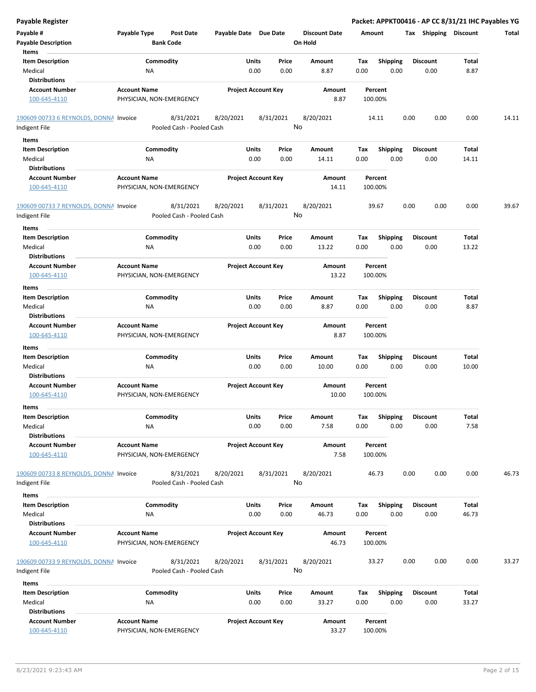| Payable #<br><b>Payable Description</b><br>Items              | Payable Type        | Post Date<br><b>Bank Code</b>          | Payable Date Due Date |                            | <b>Discount Date</b><br>On Hold | Amount             |                         | Shipping<br>Tax         | Discount       | <b>Total</b> |
|---------------------------------------------------------------|---------------------|----------------------------------------|-----------------------|----------------------------|---------------------------------|--------------------|-------------------------|-------------------------|----------------|--------------|
| <b>Item Description</b><br>Medical                            | ΝA                  | Commodity                              | Units                 | Price<br>0.00<br>0.00      | Amount<br>8.87                  | Tax<br>0.00        | <b>Shipping</b><br>0.00 | <b>Discount</b><br>0.00 | Total<br>8.87  |              |
| <b>Distributions</b><br><b>Account Number</b><br>100-645-4110 | <b>Account Name</b> | PHYSICIAN, NON-EMERGENCY               |                       | <b>Project Account Key</b> | Amount<br>8.87                  | Percent<br>100.00% |                         |                         |                |              |
| 190609 00733 6 REYNOLDS, DONNA Invoice<br>Indigent File       |                     | 8/31/2021<br>Pooled Cash - Pooled Cash | 8/20/2021             | 8/31/2021                  | 8/20/2021<br>No                 | 14.11              |                         | 0.00<br>0.00            | 0.00           | 14.11        |
| Items                                                         |                     |                                        |                       |                            |                                 |                    |                         |                         |                |              |
| <b>Item Description</b>                                       |                     | Commodity                              | Units                 | Price                      | Amount                          | Tax                | <b>Shipping</b>         | <b>Discount</b>         | Total          |              |
| Medical                                                       | ΝA                  |                                        |                       | 0.00<br>0.00               | 14.11                           | 0.00               | 0.00                    | 0.00                    | 14.11          |              |
| <b>Distributions</b>                                          |                     |                                        |                       |                            |                                 |                    |                         |                         |                |              |
| <b>Account Number</b><br>100-645-4110                         | <b>Account Name</b> | PHYSICIAN, NON-EMERGENCY               |                       | <b>Project Account Key</b> | Amount<br>14.11                 | Percent<br>100.00% |                         |                         |                |              |
| 190609 00733 7 REYNOLDS, DONNA Invoice<br>Indigent File       |                     | 8/31/2021<br>Pooled Cash - Pooled Cash | 8/20/2021             | 8/31/2021                  | 8/20/2021<br>No                 | 39.67              |                         | 0.00<br>0.00            | 0.00           | 39.67        |
| Items                                                         |                     |                                        |                       |                            |                                 |                    |                         |                         |                |              |
| <b>Item Description</b>                                       |                     | Commodity                              | Units                 | Price                      | Amount                          | Tax                | Shipping                | <b>Discount</b>         | Total          |              |
| Medical                                                       | ΝA                  |                                        |                       | 0.00<br>0.00               | 13.22                           | 0.00               | 0.00                    | 0.00                    | 13.22          |              |
| <b>Distributions</b>                                          |                     |                                        |                       |                            |                                 |                    |                         |                         |                |              |
| <b>Account Number</b><br>100-645-4110                         | <b>Account Name</b> | PHYSICIAN, NON-EMERGENCY               |                       | <b>Project Account Key</b> | Amount<br>13.22                 | Percent<br>100.00% |                         |                         |                |              |
|                                                               |                     |                                        |                       |                            |                                 |                    |                         |                         |                |              |
| Items<br><b>Item Description</b>                              |                     | Commodity                              | Units                 | Price                      | Amount                          | Тах                | <b>Shipping</b>         | <b>Discount</b>         | Total          |              |
| Medical                                                       | ΝA                  |                                        |                       | 0.00<br>0.00               | 8.87                            | 0.00               | 0.00                    | 0.00                    | 8.87           |              |
| <b>Distributions</b>                                          |                     |                                        |                       |                            |                                 |                    |                         |                         |                |              |
| <b>Account Number</b><br>100-645-4110                         | <b>Account Name</b> | PHYSICIAN, NON-EMERGENCY               |                       | <b>Project Account Key</b> | Amount<br>8.87                  | Percent<br>100.00% |                         |                         |                |              |
| Items                                                         |                     |                                        |                       |                            |                                 |                    |                         |                         |                |              |
| <b>Item Description</b>                                       |                     | Commodity                              | Units                 | Price                      | Amount                          | Tax                | <b>Shipping</b>         | Discount                | Total          |              |
| Medical<br><b>Distributions</b>                               | ΝA                  |                                        |                       | 0.00<br>0.00               | 10.00                           | 0.00               | 0.00                    | 0.00                    | 10.00          |              |
| <b>Account Number</b>                                         | <b>Account Name</b> |                                        |                       | <b>Project Account Key</b> | Amount                          | Percent            |                         |                         |                |              |
| 100-645-4110                                                  |                     | PHYSICIAN, NON-EMERGENCY               |                       |                            | 10.00                           | 100.00%            |                         |                         |                |              |
| Items                                                         |                     |                                        |                       |                            |                                 |                    |                         |                         |                |              |
| <b>Item Description</b><br>Medical                            | ΝA                  | Commodity                              | <b>Units</b>          | Price<br>0.00<br>0.00      | Amount<br>7.58                  | Tax<br>0.00        | Shipping<br>0.00        | <b>Discount</b><br>0.00 | Total<br>7.58  |              |
| <b>Distributions</b><br><b>Account Number</b>                 | <b>Account Name</b> |                                        |                       | <b>Project Account Key</b> | Amount                          | Percent            |                         |                         |                |              |
| 100-645-4110                                                  |                     | PHYSICIAN, NON-EMERGENCY               |                       |                            | 7.58                            | 100.00%            |                         |                         |                |              |
| 190609 00733 8 REYNOLDS, DONNA Invoice<br>Indigent File       |                     | 8/31/2021<br>Pooled Cash - Pooled Cash | 8/20/2021             | 8/31/2021                  | 8/20/2021<br>No                 | 46.73              |                         | 0.00<br>0.00            | 0.00           | 46.73        |
| Items                                                         |                     |                                        |                       |                            |                                 |                    |                         |                         |                |              |
| <b>Item Description</b>                                       |                     | Commodity                              | Units                 | Price                      | Amount                          | Tax                | Shipping                | <b>Discount</b>         | Total          |              |
| Medical                                                       | ΝA                  |                                        |                       | 0.00<br>0.00               | 46.73                           | 0.00               | 0.00                    | 0.00                    | 46.73          |              |
| <b>Distributions</b>                                          |                     |                                        |                       |                            |                                 |                    |                         |                         |                |              |
| <b>Account Number</b><br>100-645-4110                         | <b>Account Name</b> | PHYSICIAN, NON-EMERGENCY               |                       | <b>Project Account Key</b> | Amount<br>46.73                 | Percent<br>100.00% |                         |                         |                |              |
|                                                               |                     |                                        |                       |                            |                                 |                    |                         |                         |                |              |
| 190609 00733 9 REYNOLDS, DONNA Invoice<br>Indigent File       |                     | 8/31/2021<br>Pooled Cash - Pooled Cash | 8/20/2021             | 8/31/2021                  | 8/20/2021<br>No                 | 33.27              |                         | 0.00<br>0.00            | 0.00           | 33.27        |
|                                                               |                     |                                        |                       |                            |                                 |                    |                         |                         |                |              |
| Items                                                         |                     |                                        |                       |                            |                                 |                    |                         |                         |                |              |
| <b>Item Description</b><br>Medical                            | ΝA                  | Commodity                              | Units                 | Price<br>0.00<br>0.00      | Amount<br>33.27                 | Tax<br>0.00        | <b>Shipping</b><br>0.00 | <b>Discount</b><br>0.00 | Total<br>33.27 |              |
| <b>Distributions</b>                                          |                     |                                        |                       |                            |                                 |                    |                         |                         |                |              |
| <b>Account Number</b><br>100-645-4110                         | <b>Account Name</b> | PHYSICIAN, NON-EMERGENCY               |                       | <b>Project Account Key</b> | Amount<br>33.27                 | Percent<br>100.00% |                         |                         |                |              |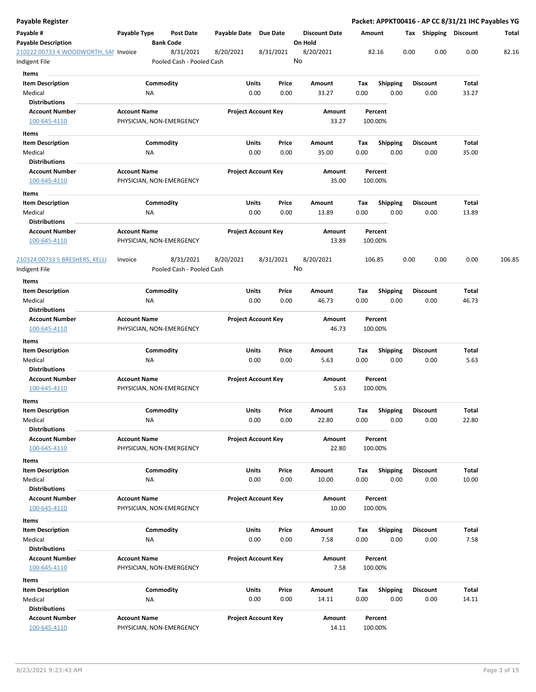| Payable Register                                       |                     |           |                                        |                       |                            |    |                                 |        |                    |      |                       | Packet: APPKT00416 - AP CC 8/31/21 IHC Payables YG |        |
|--------------------------------------------------------|---------------------|-----------|----------------------------------------|-----------------------|----------------------------|----|---------------------------------|--------|--------------------|------|-----------------------|----------------------------------------------------|--------|
| Payable #<br><b>Payable Description</b>                | Payable Type        |           | <b>Post Date</b><br><b>Bank Code</b>   | Payable Date Due Date |                            |    | <b>Discount Date</b><br>On Hold | Amount |                    |      | Tax Shipping Discount |                                                    | Total  |
| 210222 00733 4 WOODWORTH, SAI Invoice<br>Indigent File |                     |           | 8/31/2021<br>Pooled Cash - Pooled Cash | 8/20/2021             | 8/31/2021                  | No | 8/20/2021                       |        | 82.16              | 0.00 | 0.00                  | 0.00                                               | 82.16  |
| Items                                                  |                     |           |                                        |                       |                            |    |                                 |        |                    |      |                       |                                                    |        |
| <b>Item Description</b>                                |                     | Commodity |                                        | Units                 | Price                      |    | Amount                          | Tax    | <b>Shipping</b>    |      | <b>Discount</b>       | Total                                              |        |
| Medical                                                |                     | ΝA        |                                        |                       | 0.00<br>0.00               |    | 33.27                           | 0.00   | 0.00               |      | 0.00                  | 33.27                                              |        |
| <b>Distributions</b>                                   |                     |           |                                        |                       |                            |    |                                 |        |                    |      |                       |                                                    |        |
| <b>Account Number</b>                                  | <b>Account Name</b> |           |                                        |                       | <b>Project Account Key</b> |    | Amount                          |        | Percent            |      |                       |                                                    |        |
| 100-645-4110                                           |                     |           | PHYSICIAN, NON-EMERGENCY               |                       |                            |    | 33.27                           |        | 100.00%            |      |                       |                                                    |        |
| Items                                                  |                     |           |                                        |                       |                            |    |                                 |        |                    |      |                       |                                                    |        |
| <b>Item Description</b>                                |                     | Commodity |                                        | Units                 | Price                      |    | Amount                          | Тах    | <b>Shipping</b>    |      | <b>Discount</b>       | Total                                              |        |
| Medical                                                |                     | ΝA        |                                        |                       | 0.00<br>0.00               |    | 35.00                           | 0.00   | 0.00               |      | 0.00                  | 35.00                                              |        |
| <b>Distributions</b>                                   |                     |           |                                        |                       |                            |    |                                 |        |                    |      |                       |                                                    |        |
| <b>Account Number</b>                                  | <b>Account Name</b> |           |                                        |                       | <b>Project Account Key</b> |    | Amount                          |        | Percent            |      |                       |                                                    |        |
| 100-645-4110                                           |                     |           | PHYSICIAN, NON-EMERGENCY               |                       |                            |    | 35.00                           |        | 100.00%            |      |                       |                                                    |        |
| Items                                                  |                     |           |                                        |                       |                            |    |                                 |        |                    |      |                       |                                                    |        |
| <b>Item Description</b>                                |                     | Commodity |                                        | Units                 | Price                      |    | Amount                          | Tax    | <b>Shipping</b>    |      | <b>Discount</b>       | Total                                              |        |
| Medical                                                |                     | ΝA        |                                        |                       | 0.00<br>0.00               |    | 13.89                           | 0.00   | 0.00               |      | 0.00                  | 13.89                                              |        |
| <b>Distributions</b>                                   |                     |           |                                        |                       |                            |    |                                 |        |                    |      |                       |                                                    |        |
| <b>Account Number</b><br>100-645-4110                  | <b>Account Name</b> |           | PHYSICIAN, NON-EMERGENCY               |                       | <b>Project Account Key</b> |    | Amount<br>13.89                 |        | Percent<br>100.00% |      |                       |                                                    |        |
| 210324 00733 5 BRESHERS, KELLI                         | Invoice             |           | 8/31/2021                              | 8/20/2021             | 8/31/2021                  |    | 8/20/2021                       |        | 106.85             | 0.00 | 0.00                  | 0.00                                               | 106.85 |
| Indigent File                                          |                     |           | Pooled Cash - Pooled Cash              |                       |                            | No |                                 |        |                    |      |                       |                                                    |        |
| Items                                                  |                     |           |                                        |                       |                            |    |                                 |        |                    |      |                       |                                                    |        |
| <b>Item Description</b>                                |                     | Commodity |                                        | <b>Units</b>          | Price                      |    | Amount                          | Tax    | <b>Shipping</b>    |      | <b>Discount</b>       | Total                                              |        |
| Medical                                                |                     | NA        |                                        |                       | 0.00<br>0.00               |    | 46.73                           | 0.00   | 0.00               |      | 0.00                  | 46.73                                              |        |
| <b>Distributions</b>                                   |                     |           |                                        |                       |                            |    |                                 |        |                    |      |                       |                                                    |        |
| <b>Account Number</b>                                  | <b>Account Name</b> |           |                                        |                       | <b>Project Account Key</b> |    | Amount                          |        | Percent            |      |                       |                                                    |        |
| 100-645-4110                                           |                     |           | PHYSICIAN, NON-EMERGENCY               |                       |                            |    | 46.73                           |        | 100.00%            |      |                       |                                                    |        |
| Items                                                  |                     |           |                                        |                       |                            |    |                                 |        |                    |      |                       |                                                    |        |
| <b>Item Description</b>                                |                     | Commodity |                                        | Units                 | Price                      |    | Amount                          | Тах    | <b>Shipping</b>    |      | <b>Discount</b>       | Total                                              |        |
| Medical                                                |                     | ΝA        |                                        |                       | 0.00<br>0.00               |    | 5.63                            | 0.00   | 0.00               |      | 0.00                  | 5.63                                               |        |
| Distributions                                          |                     |           |                                        |                       |                            |    |                                 |        |                    |      |                       |                                                    |        |
| <b>Account Number</b>                                  | <b>Account Name</b> |           |                                        |                       | <b>Project Account Key</b> |    | Amount                          |        | Percent            |      |                       |                                                    |        |
| 100-645-4110                                           |                     |           | PHYSICIAN, NON-EMERGENCY               |                       |                            |    | 5.63                            |        | 100.00%            |      |                       |                                                    |        |
| Items                                                  |                     |           |                                        |                       |                            |    |                                 |        |                    |      |                       |                                                    |        |
| <b>Item Description</b>                                |                     | Commodity |                                        | Units                 | Price                      |    | Amount                          | Tax    | Shipping           |      | Discount              | Total                                              |        |
| Medical                                                |                     | ΝA        |                                        |                       | 0.00<br>0.00               |    | 22.80                           | 0.00   | 0.00               |      | 0.00                  | 22.80                                              |        |
| <b>Distributions</b><br><b>Account Number</b>          | <b>Account Name</b> |           |                                        |                       | <b>Project Account Key</b> |    | Amount                          |        | Percent            |      |                       |                                                    |        |
| 100-645-4110                                           |                     |           | PHYSICIAN, NON-EMERGENCY               |                       |                            |    | 22.80                           |        | 100.00%            |      |                       |                                                    |        |
|                                                        |                     |           |                                        |                       |                            |    |                                 |        |                    |      |                       |                                                    |        |
| Items<br><b>Item Description</b>                       |                     | Commodity |                                        | Units                 | Price                      |    | Amount                          | Tax    | Shipping           |      | <b>Discount</b>       | Total                                              |        |
| Medical                                                |                     | ΝA        |                                        |                       | 0.00<br>0.00               |    | 10.00                           | 0.00   | 0.00               |      | 0.00                  | 10.00                                              |        |
| <b>Distributions</b>                                   |                     |           |                                        |                       |                            |    |                                 |        |                    |      |                       |                                                    |        |
| <b>Account Number</b>                                  | <b>Account Name</b> |           |                                        |                       | <b>Project Account Key</b> |    | Amount                          |        | Percent            |      |                       |                                                    |        |
| 100-645-4110                                           |                     |           | PHYSICIAN, NON-EMERGENCY               |                       |                            |    | 10.00                           |        | 100.00%            |      |                       |                                                    |        |
| Items                                                  |                     |           |                                        |                       |                            |    |                                 |        |                    |      |                       |                                                    |        |
| <b>Item Description</b>                                |                     | Commodity |                                        | Units                 | Price                      |    | Amount                          | Tax    | <b>Shipping</b>    |      | <b>Discount</b>       | Total                                              |        |
| Medical                                                |                     | NA        |                                        |                       | 0.00<br>0.00               |    | 7.58                            | 0.00   | 0.00               |      | 0.00                  | 7.58                                               |        |
| <b>Distributions</b>                                   |                     |           |                                        |                       |                            |    |                                 |        |                    |      |                       |                                                    |        |
| <b>Account Number</b>                                  | <b>Account Name</b> |           |                                        |                       | <b>Project Account Key</b> |    | Amount                          |        | Percent            |      |                       |                                                    |        |
| 100-645-4110                                           |                     |           | PHYSICIAN, NON-EMERGENCY               |                       |                            |    | 7.58                            |        | 100.00%            |      |                       |                                                    |        |
| Items                                                  |                     |           |                                        |                       |                            |    |                                 |        |                    |      |                       |                                                    |        |
| Item Description                                       |                     | Commodity |                                        | Units                 | Price                      |    | Amount                          | Tax    | <b>Shipping</b>    |      | Discount              | Total                                              |        |
| Medical                                                |                     | <b>NA</b> |                                        |                       | 0.00<br>0.00               |    | 14.11                           | 0.00   | 0.00               |      | 0.00                  | 14.11                                              |        |
| <b>Distributions</b>                                   |                     |           |                                        |                       |                            |    |                                 |        |                    |      |                       |                                                    |        |
| <b>Account Number</b>                                  | <b>Account Name</b> |           |                                        |                       | <b>Project Account Key</b> |    | Amount                          |        | Percent            |      |                       |                                                    |        |
| 100-645-4110                                           |                     |           | PHYSICIAN, NON-EMERGENCY               |                       |                            |    | 14.11                           |        | 100.00%            |      |                       |                                                    |        |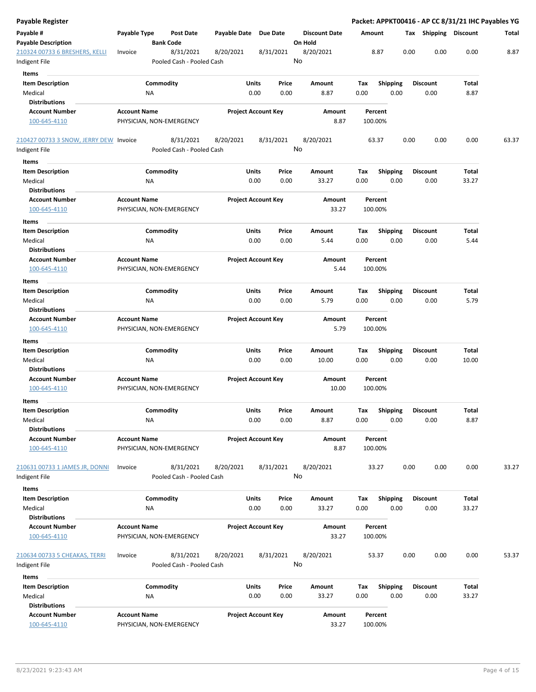| Payable Register                                |                                                 |                  |                                        |                       |                            |    |                                 |             |                    |      |                         |       | Packet: APPKT00416 - AP CC 8/31/21 IHC Payables YG |
|-------------------------------------------------|-------------------------------------------------|------------------|----------------------------------------|-----------------------|----------------------------|----|---------------------------------|-------------|--------------------|------|-------------------------|-------|----------------------------------------------------|
| Payable #<br><b>Payable Description</b>         | Payable Type                                    | <b>Bank Code</b> | <b>Post Date</b>                       | Payable Date Due Date |                            |    | <b>Discount Date</b><br>On Hold | Amount      |                    |      | Tax Shipping Discount   |       | Total                                              |
| 210324 00733 6 BRESHERS, KELLI<br>Indigent File | Invoice                                         |                  | 8/31/2021<br>Pooled Cash - Pooled Cash | 8/20/2021             | 8/31/2021                  | No | 8/20/2021                       |             | 8.87               | 0.00 | 0.00                    | 0.00  | 8.87                                               |
| Items                                           |                                                 |                  |                                        |                       |                            |    |                                 |             |                    |      |                         |       |                                                    |
| <b>Item Description</b>                         |                                                 | Commodity        |                                        | Units                 | Price                      |    | Amount                          | Tax         | <b>Shipping</b>    |      | <b>Discount</b>         | Total |                                                    |
| Medical                                         |                                                 | ΝA               |                                        |                       | 0.00<br>0.00               |    | 8.87                            | 0.00        | 0.00               |      | 0.00                    | 8.87  |                                                    |
| <b>Distributions</b>                            |                                                 |                  |                                        |                       |                            |    |                                 |             |                    |      |                         |       |                                                    |
| <b>Account Number</b>                           | <b>Account Name</b>                             |                  |                                        |                       | <b>Project Account Key</b> |    | Amount                          |             | Percent            |      |                         |       |                                                    |
| 100-645-4110                                    |                                                 |                  | PHYSICIAN, NON-EMERGENCY               |                       |                            |    | 8.87                            |             | 100.00%            |      |                         |       |                                                    |
| 210427 00733 3 SNOW, JERRY DEW Invoice          |                                                 |                  | 8/31/2021<br>Pooled Cash - Pooled Cash | 8/20/2021             | 8/31/2021                  | No | 8/20/2021                       |             | 63.37              | 0.00 | 0.00                    | 0.00  | 63.37                                              |
| Indigent File                                   |                                                 |                  |                                        |                       |                            |    |                                 |             |                    |      |                         |       |                                                    |
| <b>Items</b>                                    |                                                 |                  |                                        |                       |                            |    |                                 |             |                    |      |                         |       |                                                    |
| <b>Item Description</b>                         |                                                 | Commodity        |                                        | Units                 | Price                      |    | Amount                          | Tax         | <b>Shipping</b>    |      | <b>Discount</b>         | Total |                                                    |
| Medical                                         |                                                 | ΝA               |                                        |                       | 0.00<br>0.00               |    | 33.27                           | 0.00        | 0.00               |      | 0.00                    | 33.27 |                                                    |
| <b>Distributions</b>                            |                                                 |                  |                                        |                       |                            |    |                                 |             |                    |      |                         |       |                                                    |
| <b>Account Number</b><br>100-645-4110           | <b>Account Name</b><br>PHYSICIAN, NON-EMERGENCY |                  |                                        |                       | <b>Project Account Key</b> |    | Amount<br>33.27                 |             | Percent<br>100.00% |      |                         |       |                                                    |
| Items                                           |                                                 |                  |                                        |                       |                            |    |                                 |             |                    |      |                         |       |                                                    |
| <b>Item Description</b>                         |                                                 | Commodity        |                                        | Units                 | Price                      |    | Amount                          | Tax         | <b>Shipping</b>    |      | <b>Discount</b>         | Total |                                                    |
| Medical<br><b>Distributions</b>                 |                                                 | ΝA               |                                        |                       | 0.00<br>0.00               |    | 5.44                            | 0.00        | 0.00               |      | 0.00                    | 5.44  |                                                    |
| <b>Account Number</b><br>100-645-4110           | <b>Account Name</b><br>PHYSICIAN, NON-EMERGENCY |                  |                                        |                       | <b>Project Account Key</b> |    | Amount<br>5.44                  |             | Percent<br>100.00% |      |                         |       |                                                    |
| Items                                           |                                                 |                  |                                        |                       |                            |    |                                 |             |                    |      |                         |       |                                                    |
| <b>Item Description</b>                         |                                                 | Commodity        |                                        | Units                 | Price                      |    | Amount                          | Tax         | <b>Shipping</b>    |      | <b>Discount</b>         | Total |                                                    |
| Medical<br><b>Distributions</b>                 |                                                 | ΝA               |                                        |                       | 0.00<br>0.00               |    | 5.79                            | 0.00        | 0.00               |      | 0.00                    | 5.79  |                                                    |
| <b>Account Number</b>                           | <b>Account Name</b>                             |                  |                                        |                       | <b>Project Account Key</b> |    | Amount                          |             | Percent            |      |                         |       |                                                    |
| 100-645-4110                                    | PHYSICIAN, NON-EMERGENCY                        |                  |                                        |                       |                            |    | 5.79                            |             | 100.00%            |      |                         |       |                                                    |
| Items                                           |                                                 |                  |                                        |                       |                            |    |                                 |             |                    |      |                         |       |                                                    |
| <b>Item Description</b>                         |                                                 | Commodity        |                                        | Units                 | Price                      |    | Amount                          | Тах         | <b>Shipping</b>    |      | <b>Discount</b>         | Total |                                                    |
| Medical                                         |                                                 | ΝA               |                                        |                       | 0.00<br>0.00               |    | 10.00                           | 0.00        | 0.00               |      | 0.00                    | 10.00 |                                                    |
| <b>Distributions</b>                            |                                                 |                  |                                        |                       |                            |    |                                 |             |                    |      |                         |       |                                                    |
| <b>Account Number</b>                           | <b>Account Name</b>                             |                  |                                        |                       | <b>Project Account Key</b> |    | Amount                          |             | Percent            |      |                         |       |                                                    |
| 100-645-4110                                    | PHYSICIAN, NON-EMERGENCY                        |                  |                                        |                       |                            |    | 10.00                           |             | 100.00%            |      |                         |       |                                                    |
| Items                                           |                                                 |                  |                                        |                       |                            |    |                                 |             |                    |      |                         |       |                                                    |
| Item Description<br>Medical                     |                                                 | Commodity        |                                        | <b>Units</b>          | Price<br>0.00              |    | Amount                          | тах         | Shipping           |      | <b>Discount</b>         | Total |                                                    |
| <b>Distributions</b>                            |                                                 | ΝA               |                                        |                       | 0.00                       |    | 8.87                            | 0.00        | 0.00               |      | 0.00                    | 8.87  |                                                    |
| <b>Account Number</b>                           | <b>Account Name</b>                             |                  |                                        |                       | <b>Project Account Key</b> |    | Amount                          |             | Percent            |      |                         |       |                                                    |
| 100-645-4110                                    | PHYSICIAN, NON-EMERGENCY                        |                  |                                        |                       |                            |    | 8.87                            |             | 100.00%            |      |                         |       |                                                    |
| 210631 00733 1 JAMES JR, DONNI<br>Indigent File | Invoice                                         |                  | 8/31/2021<br>Pooled Cash - Pooled Cash | 8/20/2021             | 8/31/2021                  | No | 8/20/2021                       |             | 33.27              | 0.00 | 0.00                    | 0.00  | 33.27                                              |
|                                                 |                                                 |                  |                                        |                       |                            |    |                                 |             |                    |      |                         |       |                                                    |
| Items                                           |                                                 |                  |                                        |                       |                            |    |                                 |             |                    |      |                         |       |                                                    |
| <b>Item Description</b>                         |                                                 | Commodity        |                                        | Units                 | Price<br>0.00              |    | Amount                          | Tax<br>0.00 | Shipping<br>0.00   |      | <b>Discount</b><br>0.00 | Total |                                                    |
| Medical<br><b>Distributions</b>                 |                                                 | NA               |                                        |                       | 0.00                       |    | 33.27                           |             |                    |      |                         | 33.27 |                                                    |
|                                                 |                                                 |                  |                                        |                       |                            |    |                                 |             |                    |      |                         |       |                                                    |
| <b>Account Number</b><br>100-645-4110           | <b>Account Name</b><br>PHYSICIAN, NON-EMERGENCY |                  |                                        |                       | <b>Project Account Key</b> |    | Amount<br>33.27                 |             | Percent<br>100.00% |      |                         |       |                                                    |
| 210634 00733 5 CHEAKAS, TERRI<br>Indigent File  | Invoice                                         |                  | 8/31/2021<br>Pooled Cash - Pooled Cash | 8/20/2021             | 8/31/2021                  | No | 8/20/2021                       |             | 53.37              | 0.00 | 0.00                    | 0.00  | 53.37                                              |
| Items                                           |                                                 |                  |                                        |                       |                            |    |                                 |             |                    |      |                         |       |                                                    |
| <b>Item Description</b>                         |                                                 | Commodity        |                                        | Units                 | Price                      |    | Amount                          | Tax         | Shipping           |      | <b>Discount</b>         | Total |                                                    |
| Medical                                         |                                                 | ΝA               |                                        |                       | 0.00<br>0.00               |    | 33.27                           | 0.00        | 0.00               |      | 0.00                    | 33.27 |                                                    |
| <b>Distributions</b>                            |                                                 |                  |                                        |                       |                            |    |                                 |             |                    |      |                         |       |                                                    |
| <b>Account Number</b>                           | <b>Account Name</b>                             |                  |                                        |                       | <b>Project Account Key</b> |    | Amount                          |             | Percent            |      |                         |       |                                                    |
| 100-645-4110                                    |                                                 |                  | PHYSICIAN, NON-EMERGENCY               |                       |                            |    | 33.27                           |             | 100.00%            |      |                         |       |                                                    |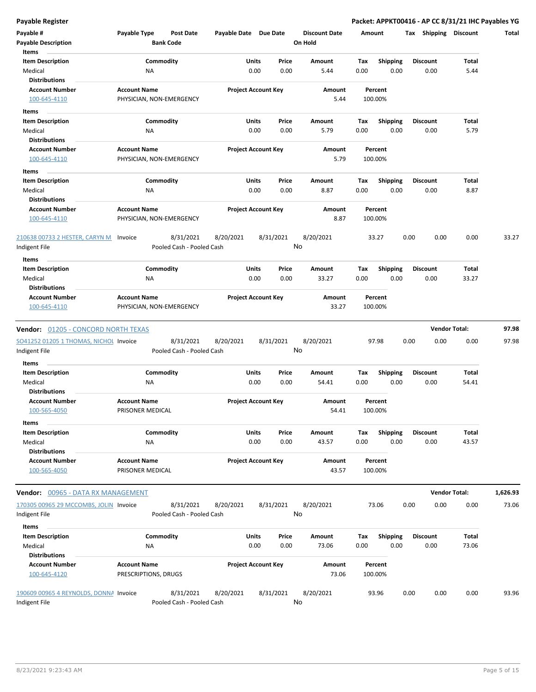| Payable #                                 | Payable Type             | <b>Post Date</b>          | Payable Date Due Date |                            | <b>Discount Date</b> | Amount |                 | Tax  | Shipping        | <b>Discount</b>      | Total    |
|-------------------------------------------|--------------------------|---------------------------|-----------------------|----------------------------|----------------------|--------|-----------------|------|-----------------|----------------------|----------|
| <b>Payable Description</b>                |                          | <b>Bank Code</b>          |                       |                            | On Hold              |        |                 |      |                 |                      |          |
| Items                                     |                          |                           |                       |                            |                      |        |                 |      |                 |                      |          |
| <b>Item Description</b>                   |                          | Commodity                 |                       | Price<br>Units             | Amount               | Tax    | Shipping        |      | <b>Discount</b> | Total                |          |
| Medical                                   | ΝA                       |                           |                       | 0.00<br>0.00               | 5.44                 | 0.00   | 0.00            |      | 0.00            | 5.44                 |          |
| <b>Distributions</b>                      |                          |                           |                       |                            |                      |        |                 |      |                 |                      |          |
| <b>Account Number</b>                     | <b>Account Name</b>      |                           |                       | <b>Project Account Key</b> | Amount               |        | Percent         |      |                 |                      |          |
| 100-645-4110                              | PHYSICIAN, NON-EMERGENCY |                           |                       |                            | 5.44                 |        | 100.00%         |      |                 |                      |          |
| Items                                     |                          |                           |                       |                            |                      |        |                 |      |                 |                      |          |
| <b>Item Description</b>                   |                          | Commodity                 |                       | Units<br>Price             | Amount               | Tax    | <b>Shipping</b> |      | <b>Discount</b> | Total                |          |
| Medical                                   | ΝA                       |                           |                       | 0.00<br>0.00               | 5.79                 | 0.00   | 0.00            |      | 0.00            | 5.79                 |          |
| <b>Distributions</b>                      |                          |                           |                       |                            |                      |        |                 |      |                 |                      |          |
| <b>Account Number</b>                     | <b>Account Name</b>      |                           |                       | <b>Project Account Key</b> | Amount               |        | Percent         |      |                 |                      |          |
| 100-645-4110                              | PHYSICIAN, NON-EMERGENCY |                           |                       |                            | 5.79                 |        | 100.00%         |      |                 |                      |          |
| Items                                     |                          |                           |                       |                            |                      |        |                 |      |                 |                      |          |
| <b>Item Description</b>                   |                          | Commodity                 |                       | Units<br>Price             | Amount               | Tax    | Shipping        |      | <b>Discount</b> | Total                |          |
| Medical                                   | ΝA                       |                           |                       | 0.00<br>0.00               | 8.87                 | 0.00   | 0.00            |      | 0.00            | 8.87                 |          |
| <b>Distributions</b>                      |                          |                           |                       |                            |                      |        |                 |      |                 |                      |          |
| <b>Account Number</b>                     | <b>Account Name</b>      |                           |                       | <b>Project Account Key</b> | Amount               |        | Percent         |      |                 |                      |          |
| 100-645-4110                              | PHYSICIAN, NON-EMERGENCY |                           |                       |                            | 8.87                 |        | 100.00%         |      |                 |                      |          |
|                                           |                          |                           |                       |                            |                      |        |                 |      |                 |                      |          |
| 210638 00733 2 HESTER, CARYN M            | Invoice                  | 8/31/2021                 | 8/20/2021             | 8/31/2021                  | 8/20/2021            |        | 33.27           | 0.00 | 0.00            | 0.00                 | 33.27    |
| Indigent File                             |                          | Pooled Cash - Pooled Cash |                       |                            | No                   |        |                 |      |                 |                      |          |
| Items                                     |                          |                           |                       |                            |                      |        |                 |      |                 |                      |          |
| <b>Item Description</b>                   |                          | Commodity                 |                       | Units<br>Price             | Amount               | Tax    | Shipping        |      | <b>Discount</b> | Total                |          |
| Medical                                   | ΝA                       |                           |                       | 0.00<br>0.00               | 33.27                | 0.00   | 0.00            |      | 0.00            | 33.27                |          |
| <b>Distributions</b>                      |                          |                           |                       |                            |                      |        |                 |      |                 |                      |          |
| <b>Account Number</b>                     | <b>Account Name</b>      |                           |                       | <b>Project Account Key</b> | Amount               |        | Percent         |      |                 |                      |          |
| 100-645-4110                              | PHYSICIAN, NON-EMERGENCY |                           |                       |                            | 33.27                |        | 100.00%         |      |                 |                      |          |
| SO41252 01205 1 THOMAS, NICHOL Invoice    |                          | 8/31/2021                 | 8/20/2021             | 8/31/2021                  | 8/20/2021            |        | 97.98           | 0.00 | 0.00            | 0.00                 | 97.98    |
| Indigent File                             |                          | Pooled Cash - Pooled Cash |                       |                            | No                   |        |                 |      |                 |                      |          |
| <b>Items</b>                              |                          |                           |                       |                            |                      |        |                 |      |                 |                      |          |
| <b>Item Description</b>                   |                          | Commodity                 |                       | Units<br>Price             | Amount               | Tax    | <b>Shipping</b> |      | <b>Discount</b> | Total                |          |
| Medical                                   | ΝA                       |                           |                       | 0.00<br>0.00               | 54.41                | 0.00   | 0.00            |      | 0.00            | 54.41                |          |
| Distributions                             |                          |                           |                       |                            |                      |        |                 |      |                 |                      |          |
| <b>Account Number</b>                     | <b>Account Name</b>      |                           |                       | <b>Project Account Key</b> | Amount               |        | Percent         |      |                 |                      |          |
| 100-565-4050                              | PRISONER MEDICAL         |                           |                       |                            | 54.41                |        | 100.00%         |      |                 |                      |          |
| Items                                     |                          |                           |                       |                            |                      |        |                 |      |                 |                      |          |
| <b>Item Description</b>                   |                          | Commodity                 |                       | Units<br>Price             | Amount               | Тах    | <b>Shipping</b> |      | <b>Discount</b> | Total                |          |
| Medical                                   | NA                       |                           |                       | 0.00<br>0.00               | 43.57                | 0.00   | 0.00            |      | 0.00            | 43.57                |          |
| <b>Distributions</b>                      |                          |                           |                       |                            |                      |        |                 |      |                 |                      |          |
| <b>Account Number</b>                     | <b>Account Name</b>      |                           |                       | <b>Project Account Key</b> | Amount               |        | Percent         |      |                 |                      |          |
| 100-565-4050                              | PRISONER MEDICAL         |                           |                       |                            | 43.57                |        | 100.00%         |      |                 |                      |          |
| <b>Vendor:</b> 00965 - DATA RX MANAGEMENT |                          |                           |                       |                            |                      |        |                 |      |                 | <b>Vendor Total:</b> | 1,626.93 |
|                                           |                          |                           |                       |                            |                      |        |                 |      |                 |                      |          |
| 170305 00965 29 MCCOMBS, JOLIN Invoice    |                          | 8/31/2021                 | 8/20/2021             | 8/31/2021                  | 8/20/2021            |        | 73.06           | 0.00 | 0.00            | 0.00                 | 73.06    |
| Indigent File                             |                          | Pooled Cash - Pooled Cash |                       |                            | No                   |        |                 |      |                 |                      |          |
| Items                                     |                          |                           |                       |                            |                      |        |                 |      |                 |                      |          |
| <b>Item Description</b>                   |                          | Commodity                 |                       | Units<br>Price             | Amount               | Тах    | <b>Shipping</b> |      | <b>Discount</b> | Total                |          |
| Medical                                   | ΝA                       |                           |                       | 0.00<br>0.00               | 73.06                | 0.00   | 0.00            |      | 0.00            | 73.06                |          |
| <b>Distributions</b>                      |                          |                           |                       |                            |                      |        |                 |      |                 |                      |          |
| <b>Account Number</b>                     | <b>Account Name</b>      |                           |                       | <b>Project Account Key</b> | Amount               |        | Percent         |      |                 |                      |          |
| 100-645-4120                              | PRESCRIPTIONS, DRUGS     |                           |                       |                            | 73.06                |        | 100.00%         |      |                 |                      |          |
|                                           |                          |                           |                       |                            |                      |        |                 |      |                 |                      |          |
| 190609 00965 4 REYNOLDS, DONNA Invoice    |                          | 8/31/2021                 | 8/20/2021             | 8/31/2021                  | 8/20/2021            |        | 93.96           | 0.00 | 0.00            | 0.00                 | 93.96    |
| Indigent File                             |                          | Pooled Cash - Pooled Cash |                       |                            | No                   |        |                 |      |                 |                      |          |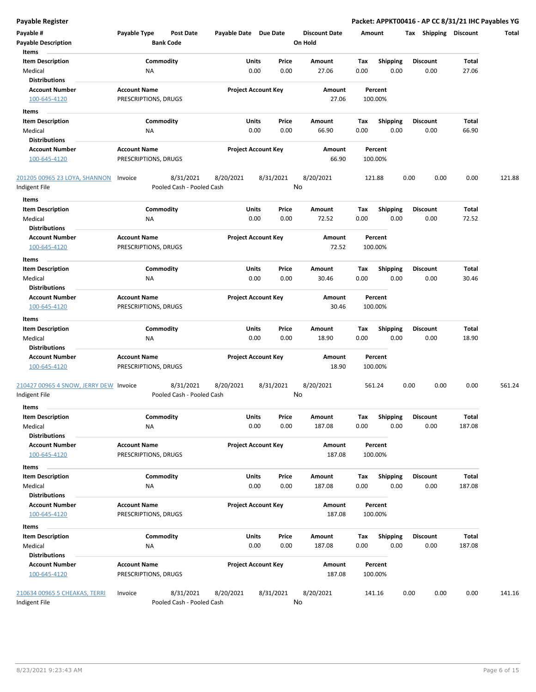| Payable #                              | Payable Type                                | <b>Post Date</b>                       | Payable Date Due Date |                            |           | <b>Discount Date</b> |      | Amount             | Tax  | <b>Shipping</b> | <b>Discount</b> | Total  |
|----------------------------------------|---------------------------------------------|----------------------------------------|-----------------------|----------------------------|-----------|----------------------|------|--------------------|------|-----------------|-----------------|--------|
| <b>Payable Description</b>             |                                             | <b>Bank Code</b>                       |                       |                            |           | On Hold              |      |                    |      |                 |                 |        |
| Items                                  |                                             |                                        |                       |                            |           |                      |      |                    |      |                 |                 |        |
| <b>Item Description</b>                |                                             | Commodity                              |                       | Units                      | Price     | Amount               | Tax  | <b>Shipping</b>    |      | <b>Discount</b> | Total           |        |
| Medical                                | ΝA                                          |                                        |                       | 0.00                       | 0.00      | 27.06                | 0.00 | 0.00               |      | 0.00            | 27.06           |        |
| <b>Distributions</b>                   |                                             |                                        |                       |                            |           |                      |      |                    |      |                 |                 |        |
| <b>Account Number</b><br>100-645-4120  | <b>Account Name</b><br>PRESCRIPTIONS, DRUGS |                                        |                       | <b>Project Account Key</b> |           | Amount<br>27.06      |      | Percent<br>100.00% |      |                 |                 |        |
| Items                                  |                                             |                                        |                       |                            |           |                      |      |                    |      |                 |                 |        |
| <b>Item Description</b>                |                                             | Commodity                              |                       | Units                      | Price     | Amount               | Tax  | <b>Shipping</b>    |      | Discount        | Total           |        |
| Medical                                | NA                                          |                                        |                       | 0.00                       | 0.00      | 66.90                | 0.00 | 0.00               |      | 0.00            | 66.90           |        |
| <b>Distributions</b>                   |                                             |                                        |                       |                            |           |                      |      |                    |      |                 |                 |        |
| <b>Account Number</b>                  | <b>Account Name</b>                         |                                        |                       | <b>Project Account Key</b> |           | Amount               |      | Percent            |      |                 |                 |        |
| 100-645-4120                           | PRESCRIPTIONS, DRUGS                        |                                        |                       |                            |           | 66.90                |      | 100.00%            |      |                 |                 |        |
| 201205 00965 23 LOYA, SHANNON          | Invoice                                     | 8/31/2021                              | 8/20/2021             |                            | 8/31/2021 | 8/20/2021            |      | 121.88             | 0.00 | 0.00            | 0.00            | 121.88 |
| Indigent File                          |                                             | Pooled Cash - Pooled Cash              |                       |                            |           | No                   |      |                    |      |                 |                 |        |
|                                        |                                             |                                        |                       |                            |           |                      |      |                    |      |                 |                 |        |
| Items                                  |                                             |                                        |                       |                            |           |                      |      |                    |      |                 |                 |        |
| <b>Item Description</b>                |                                             | Commodity                              |                       | Units                      | Price     | Amount               | Tax  | <b>Shipping</b>    |      | <b>Discount</b> | Total           |        |
| Medical                                | ΝA                                          |                                        |                       | 0.00                       | 0.00      | 72.52                | 0.00 | 0.00               |      | 0.00            | 72.52           |        |
| <b>Distributions</b>                   |                                             |                                        |                       |                            |           |                      |      |                    |      |                 |                 |        |
| <b>Account Number</b>                  | <b>Account Name</b>                         |                                        |                       | <b>Project Account Key</b> |           | Amount<br>72.52      |      | Percent<br>100.00% |      |                 |                 |        |
| 100-645-4120                           | PRESCRIPTIONS, DRUGS                        |                                        |                       |                            |           |                      |      |                    |      |                 |                 |        |
| Items                                  |                                             |                                        |                       |                            |           |                      |      |                    |      |                 |                 |        |
| <b>Item Description</b>                |                                             | Commodity                              |                       | Units                      | Price     | Amount               | Tax  | <b>Shipping</b>    |      | Discount        | Total           |        |
| Medical                                | NA                                          |                                        |                       | 0.00                       | 0.00      | 30.46                | 0.00 | 0.00               |      | 0.00            | 30.46           |        |
| <b>Distributions</b>                   |                                             |                                        |                       |                            |           |                      |      |                    |      |                 |                 |        |
| <b>Account Number</b>                  | <b>Account Name</b>                         |                                        |                       | <b>Project Account Key</b> |           | Amount               |      | Percent            |      |                 |                 |        |
| 100-645-4120                           | PRESCRIPTIONS, DRUGS                        |                                        |                       |                            |           | 30.46                |      | 100.00%            |      |                 |                 |        |
| Items                                  |                                             |                                        |                       |                            |           |                      |      |                    |      |                 |                 |        |
| <b>Item Description</b>                |                                             | Commodity                              |                       | Units                      | Price     | Amount               | Tax  | Shipping           |      | <b>Discount</b> | Total           |        |
| Medical                                | NA                                          |                                        |                       | 0.00                       | 0.00      | 18.90                | 0.00 | 0.00               |      | 0.00            | 18.90           |        |
| <b>Distributions</b>                   |                                             |                                        |                       |                            |           |                      |      |                    |      |                 |                 |        |
| <b>Account Number</b>                  | <b>Account Name</b>                         |                                        |                       | <b>Project Account Key</b> |           | Amount               |      | Percent            |      |                 |                 |        |
| 100-645-4120                           | PRESCRIPTIONS, DRUGS                        |                                        |                       |                            |           | 18.90                |      | 100.00%            |      |                 |                 |        |
| 210427 00965 4 SNOW, JERRY DEW Invoice |                                             | 8/31/2021                              | 8/20/2021             |                            | 8/31/2021 | 8/20/2021            |      | 561.24             | 0.00 | 0.00            | 0.00            | 561.24 |
| Indigent File                          |                                             | Pooled Cash - Pooled Cash              |                       |                            |           | No                   |      |                    |      |                 |                 |        |
| Items                                  |                                             |                                        |                       |                            |           |                      |      |                    |      |                 |                 |        |
| <b>Item Description</b>                |                                             | Commodity                              |                       | Units                      | Price     | <b>Amount</b>        | Tax  | <b>Shipping</b>    |      | <b>Discount</b> | Total           |        |
| Medical                                | <b>NA</b>                                   |                                        |                       | 0.00                       | 0.00      | 187.08               | 0.00 | 0.00               |      | 0.00            | 187.08          |        |
| <b>Distributions</b>                   |                                             |                                        |                       |                            |           |                      |      |                    |      |                 |                 |        |
| <b>Account Number</b>                  | <b>Account Name</b>                         |                                        |                       | <b>Project Account Key</b> |           | Amount               |      | Percent            |      |                 |                 |        |
| 100-645-4120                           | PRESCRIPTIONS, DRUGS                        |                                        |                       |                            |           | 187.08               |      | 100.00%            |      |                 |                 |        |
| Items                                  |                                             |                                        |                       |                            |           |                      |      |                    |      |                 |                 |        |
| <b>Item Description</b>                |                                             | Commodity                              |                       | Units                      | Price     | Amount               | Tax  | <b>Shipping</b>    |      | <b>Discount</b> | Total           |        |
| Medical                                | ΝA                                          |                                        |                       | 0.00                       | 0.00      | 187.08               | 0.00 | 0.00               |      | 0.00            | 187.08          |        |
| <b>Distributions</b>                   |                                             |                                        |                       |                            |           |                      |      |                    |      |                 |                 |        |
| <b>Account Number</b>                  | <b>Account Name</b>                         |                                        |                       | <b>Project Account Key</b> |           | Amount               |      | Percent            |      |                 |                 |        |
| 100-645-4120                           | PRESCRIPTIONS, DRUGS                        |                                        |                       |                            |           | 187.08               |      | 100.00%            |      |                 |                 |        |
|                                        |                                             |                                        |                       |                            |           |                      |      |                    |      |                 |                 |        |
| Items<br><b>Item Description</b>       |                                             | Commodity                              |                       | Units                      | Price     | Amount               | Тах  | <b>Shipping</b>    |      | Discount        | Total           |        |
| Medical                                | NA                                          |                                        |                       | 0.00                       | 0.00      | 187.08               | 0.00 | 0.00               |      | 0.00            | 187.08          |        |
| <b>Distributions</b>                   |                                             |                                        |                       |                            |           |                      |      |                    |      |                 |                 |        |
| <b>Account Number</b>                  | <b>Account Name</b>                         |                                        |                       | <b>Project Account Key</b> |           | Amount               |      | Percent            |      |                 |                 |        |
| 100-645-4120                           | PRESCRIPTIONS, DRUGS                        |                                        |                       |                            |           | 187.08               |      | 100.00%            |      |                 |                 |        |
|                                        |                                             |                                        |                       |                            |           |                      |      |                    |      |                 |                 |        |
| 210634 00965 5 CHEAKAS, TERRI          | Invoice                                     | 8/31/2021<br>Pooled Cash - Pooled Cash | 8/20/2021             |                            | 8/31/2021 | 8/20/2021<br>No      |      | 141.16             | 0.00 | 0.00            | 0.00            | 141.16 |
| Indigent File                          |                                             |                                        |                       |                            |           |                      |      |                    |      |                 |                 |        |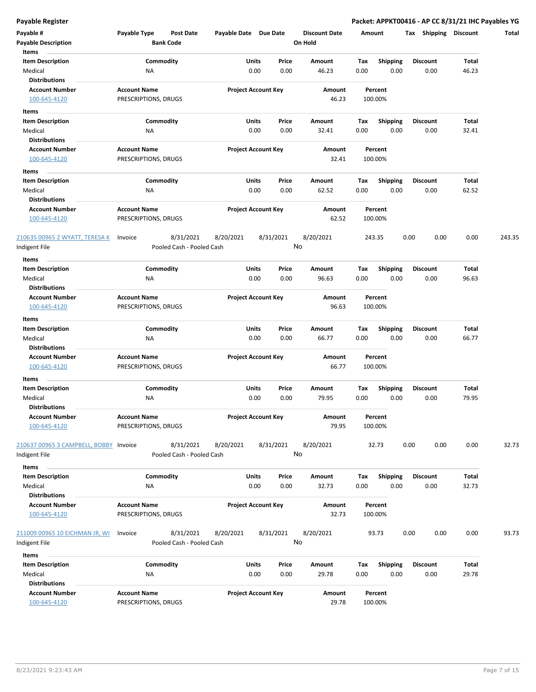| Payable #                              | Payable Type         | Post Date                 | Payable Date Due Date |                            | <b>Discount Date</b> | Amount |                 | <b>Shipping</b><br>Tax | <b>Discount</b> | Total  |
|----------------------------------------|----------------------|---------------------------|-----------------------|----------------------------|----------------------|--------|-----------------|------------------------|-----------------|--------|
| <b>Payable Description</b>             |                      | <b>Bank Code</b>          |                       |                            | On Hold              |        |                 |                        |                 |        |
| Items                                  |                      |                           |                       |                            |                      |        |                 |                        |                 |        |
| <b>Item Description</b>                |                      | Commodity                 |                       | Units<br>Price             | Amount               | Tax    | <b>Shipping</b> | <b>Discount</b>        | Total           |        |
| Medical                                | ΝA                   |                           |                       | 0.00<br>0.00               | 46.23                | 0.00   | 0.00            | 0.00                   | 46.23           |        |
| <b>Distributions</b>                   |                      |                           |                       |                            |                      |        |                 |                        |                 |        |
| <b>Account Number</b>                  | <b>Account Name</b>  |                           |                       | <b>Project Account Key</b> | Amount               |        | Percent         |                        |                 |        |
| 100-645-4120                           | PRESCRIPTIONS, DRUGS |                           |                       |                            | 46.23                |        | 100.00%         |                        |                 |        |
| Items                                  |                      |                           |                       |                            |                      |        |                 |                        |                 |        |
| <b>Item Description</b>                |                      | Commodity                 |                       | Units<br>Price             | Amount               | Тах    | Shipping        | <b>Discount</b>        | Total           |        |
| Medical                                | ΝA                   |                           |                       | 0.00<br>0.00               | 32.41                | 0.00   | 0.00            | 0.00                   | 32.41           |        |
| <b>Distributions</b>                   |                      |                           |                       |                            |                      |        |                 |                        |                 |        |
| <b>Account Number</b>                  | <b>Account Name</b>  |                           |                       | <b>Project Account Key</b> | Amount               |        | Percent         |                        |                 |        |
| 100-645-4120                           | PRESCRIPTIONS, DRUGS |                           |                       |                            | 32.41                |        | 100.00%         |                        |                 |        |
| Items                                  |                      |                           |                       |                            |                      |        |                 |                        |                 |        |
| <b>Item Description</b>                |                      | Commodity                 |                       | <b>Units</b><br>Price      | Amount               | Tax    | <b>Shipping</b> | <b>Discount</b>        | Total           |        |
| Medical                                | ΝA                   |                           |                       | 0.00<br>0.00               | 62.52                | 0.00   | 0.00            | 0.00                   | 62.52           |        |
| <b>Distributions</b>                   |                      |                           |                       |                            |                      |        |                 |                        |                 |        |
| <b>Account Number</b>                  | <b>Account Name</b>  |                           |                       | <b>Project Account Key</b> | Amount               |        | Percent         |                        |                 |        |
| 100-645-4120                           | PRESCRIPTIONS, DRUGS |                           |                       |                            | 62.52                |        | 100.00%         |                        |                 |        |
|                                        |                      |                           |                       |                            |                      |        |                 |                        |                 |        |
| 210635 00965 2 WYATT, TERESA K         | Invoice              | 8/31/2021                 | 8/20/2021             | 8/31/2021                  | 8/20/2021            |        | 243.35          | 0.00<br>0.00           | 0.00            | 243.35 |
| ndigent File                           |                      | Pooled Cash - Pooled Cash |                       |                            | No                   |        |                 |                        |                 |        |
| Items                                  |                      |                           |                       |                            |                      |        |                 |                        |                 |        |
| <b>Item Description</b>                |                      | Commodity                 |                       | Units<br>Price             | Amount               | Tax    | <b>Shipping</b> | <b>Discount</b>        | Total           |        |
| Medical                                | ΝA                   |                           |                       | 0.00<br>0.00               | 96.63                | 0.00   | 0.00            | 0.00                   | 96.63           |        |
| <b>Distributions</b>                   |                      |                           |                       |                            |                      |        |                 |                        |                 |        |
| <b>Account Number</b>                  | <b>Account Name</b>  |                           |                       | <b>Project Account Key</b> | Amount               |        | Percent         |                        |                 |        |
| 100-645-4120                           | PRESCRIPTIONS, DRUGS |                           |                       |                            | 96.63                |        | 100.00%         |                        |                 |        |
| Items                                  |                      |                           |                       |                            |                      |        |                 |                        |                 |        |
| <b>Item Description</b>                |                      | Commodity                 |                       | Units<br>Price             | Amount               | Tax    | <b>Shipping</b> | <b>Discount</b>        | Total           |        |
| Medical                                | NA                   |                           |                       | 0.00<br>0.00               | 66.77                | 0.00   | 0.00            | 0.00                   | 66.77           |        |
| <b>Distributions</b>                   |                      |                           |                       |                            |                      |        |                 |                        |                 |        |
| <b>Account Number</b>                  | <b>Account Name</b>  |                           |                       | <b>Project Account Key</b> | Amount               |        | Percent         |                        |                 |        |
| 100-645-4120                           | PRESCRIPTIONS, DRUGS |                           |                       |                            | 66.77                |        | 100.00%         |                        |                 |        |
| Items                                  |                      |                           |                       |                            |                      |        |                 |                        |                 |        |
| <b>Item Description</b>                |                      | Commodity                 |                       | Units<br>Price             | Amount               | Tax    | <b>Shipping</b> | Discount               | Total           |        |
| Medical                                | NA                   |                           |                       | 0.00<br>0.00               | 79.95                | 0.00   | 0.00            | 0.00                   | 79.95           |        |
| <b>Distributions</b>                   |                      |                           |                       |                            |                      |        |                 |                        |                 |        |
| <b>Account Number</b>                  | <b>Account Name</b>  |                           |                       | <b>Project Account Key</b> | Amount               |        | Percent         |                        |                 |        |
| 100-645-4120                           | PRESCRIPTIONS, DRUGS |                           |                       |                            | 79.95                |        | 100.00%         |                        |                 |        |
|                                        |                      |                           |                       |                            |                      |        |                 |                        |                 |        |
| 210637 00965 3 CAMPBELL, BOBBY Invoice |                      | 8/31/2021                 | 8/20/2021             | 8/31/2021                  | 8/20/2021            |        | 32.73           | 0.00<br>0.00           | 0.00            | 32.73  |
| Indigent File                          |                      | Pooled Cash - Pooled Cash |                       |                            | No                   |        |                 |                        |                 |        |
| Items                                  |                      |                           |                       |                            |                      |        |                 |                        |                 |        |
| <b>Item Description</b>                |                      | Commodity                 |                       | Units<br>Price             | Amount               | Tax    | <b>Shipping</b> | <b>Discount</b>        | Total           |        |
| Medical                                | <b>NA</b>            |                           |                       | 0.00<br>0.00               | 32.73                | 0.00   | 0.00            | 0.00                   | 32.73           |        |
| <b>Distributions</b>                   |                      |                           |                       |                            |                      |        |                 |                        |                 |        |
| <b>Account Number</b>                  | <b>Account Name</b>  |                           |                       | <b>Project Account Key</b> | Amount               |        | Percent         |                        |                 |        |
| 100-645-4120                           | PRESCRIPTIONS, DRUGS |                           |                       |                            | 32.73                |        | 100.00%         |                        |                 |        |
|                                        |                      |                           |                       |                            |                      |        |                 |                        |                 |        |
| 211009 00965 10 EICHMAN JR, WI         | Invoice              | 8/31/2021                 | 8/20/2021             | 8/31/2021                  | 8/20/2021            |        | 93.73           | 0.00<br>0.00           | 0.00            | 93.73  |
| Indigent File                          |                      | Pooled Cash - Pooled Cash |                       |                            | No                   |        |                 |                        |                 |        |
| Items                                  |                      |                           |                       |                            |                      |        |                 |                        |                 |        |
| <b>Item Description</b>                |                      | Commodity                 |                       | Units<br>Price             | Amount               | Tax    | <b>Shipping</b> | <b>Discount</b>        | Total           |        |
| Medical                                | ΝA                   |                           |                       | 0.00<br>0.00               | 29.78                | 0.00   | 0.00            | 0.00                   | 29.78           |        |
| <b>Distributions</b>                   |                      |                           |                       |                            |                      |        |                 |                        |                 |        |
| <b>Account Number</b>                  | <b>Account Name</b>  |                           |                       | <b>Project Account Key</b> | Amount               |        | Percent         |                        |                 |        |
| 100-645-4120                           | PRESCRIPTIONS, DRUGS |                           |                       |                            | 29.78                |        | 100.00%         |                        |                 |        |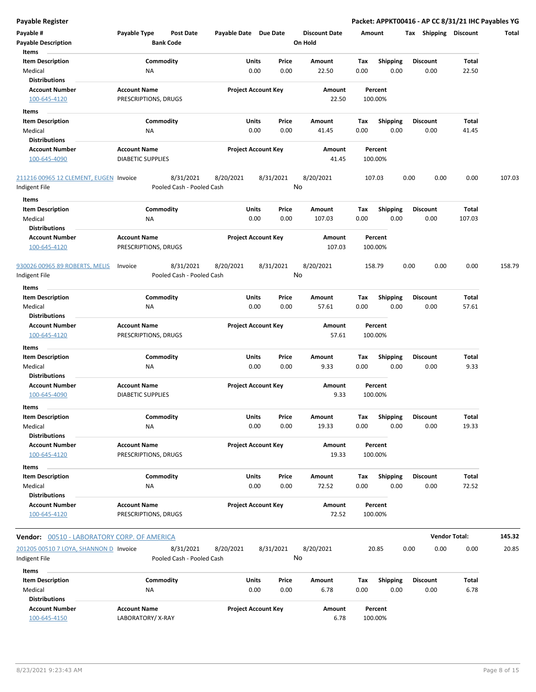| <b>Payable Register</b>                                 |                                                   |                            |                      | Packet: APPKT00416 - AP CC 8/31/21 IHC Payables YG |                       |                      |        |
|---------------------------------------------------------|---------------------------------------------------|----------------------------|----------------------|----------------------------------------------------|-----------------------|----------------------|--------|
| Payable #                                               | Payable Type<br><b>Post Date</b>                  | Payable Date Due Date      | <b>Discount Date</b> | Amount                                             | Tax Shipping Discount |                      | Total  |
| <b>Payable Description</b>                              | <b>Bank Code</b>                                  |                            | On Hold              |                                                    |                       |                      |        |
| Items                                                   |                                                   |                            |                      |                                                    |                       |                      |        |
| <b>Item Description</b>                                 | Commodity                                         | Units<br>Price             | Amount               | Shipping<br>Tax                                    | <b>Discount</b>       | Total                |        |
| Medical                                                 | NA                                                | 0.00<br>0.00               | 22.50                | 0.00<br>0.00                                       | 0.00                  | 22.50                |        |
| <b>Distributions</b>                                    |                                                   |                            |                      |                                                    |                       |                      |        |
| <b>Account Number</b><br>100-645-4120                   | <b>Account Name</b><br>PRESCRIPTIONS, DRUGS       | <b>Project Account Key</b> | Amount<br>22.50      | Percent<br>100.00%                                 |                       |                      |        |
|                                                         |                                                   |                            |                      |                                                    |                       |                      |        |
| Items                                                   | Commodity                                         | Units<br>Price             | Amount               |                                                    | <b>Discount</b>       | Total                |        |
| <b>Item Description</b><br>Medical                      | NA                                                | 0.00<br>0.00               | 41.45                | <b>Shipping</b><br>Tax<br>0.00<br>0.00             | 0.00                  | 41.45                |        |
| <b>Distributions</b>                                    |                                                   |                            |                      |                                                    |                       |                      |        |
| <b>Account Number</b>                                   | <b>Account Name</b>                               | <b>Project Account Key</b> | Amount               | Percent                                            |                       |                      |        |
| 100-645-4090                                            | <b>DIABETIC SUPPLIES</b>                          |                            | 41.45                | 100.00%                                            |                       |                      |        |
| 211216 00965 12 CLEMENT, EUGEN Invoice<br>Indigent File | 8/31/2021<br>Pooled Cash - Pooled Cash            | 8/31/2021<br>8/20/2021     | 8/20/2021<br>No      | 107.03                                             | 0.00<br>0.00          | 0.00                 | 107.03 |
| Items                                                   |                                                   |                            |                      |                                                    |                       |                      |        |
| <b>Item Description</b>                                 | Commodity                                         | Units<br>Price             | Amount               | <b>Shipping</b><br>Tax                             | <b>Discount</b>       | Total                |        |
| Medical                                                 | ΝA                                                | 0.00<br>0.00               | 107.03               | 0.00<br>0.00                                       | 0.00                  | 107.03               |        |
| <b>Distributions</b>                                    |                                                   |                            |                      |                                                    |                       |                      |        |
| <b>Account Number</b>                                   | <b>Account Name</b>                               | <b>Project Account Key</b> | Amount               | Percent                                            |                       |                      |        |
| 100-645-4120                                            | PRESCRIPTIONS, DRUGS                              |                            | 107.03               | 100.00%                                            |                       |                      |        |
| 930026 00965 89 ROBERTS, MELIS<br>Indigent File         | 8/31/2021<br>Invoice<br>Pooled Cash - Pooled Cash | 8/31/2021<br>8/20/2021     | 8/20/2021<br>No      | 158.79                                             | 0.00<br>0.00          | 0.00                 | 158.79 |
| Items                                                   |                                                   |                            |                      |                                                    |                       |                      |        |
| <b>Item Description</b>                                 | Commodity                                         | Units<br>Price             | Amount               | Shipping<br>Tax                                    | <b>Discount</b>       | Total                |        |
| Medical<br><b>Distributions</b>                         | NA                                                | 0.00<br>0.00               | 57.61                | 0.00<br>0.00                                       | 0.00                  | 57.61                |        |
| <b>Account Number</b><br>100-645-4120                   | <b>Account Name</b><br>PRESCRIPTIONS, DRUGS       | <b>Project Account Key</b> | Amount<br>57.61      | Percent<br>100.00%                                 |                       |                      |        |
| Items                                                   |                                                   |                            |                      |                                                    |                       |                      |        |
| <b>Item Description</b>                                 | Commodity                                         | Units<br>Price             | Amount               | <b>Shipping</b><br>Tax                             | <b>Discount</b>       | Total                |        |
| Medical                                                 | NA                                                | 0.00<br>0.00               | 9.33                 | 0.00<br>0.00                                       | 0.00                  | 9.33                 |        |
| <b>Distributions</b>                                    |                                                   |                            |                      |                                                    |                       |                      |        |
| <b>Account Number</b>                                   | <b>Account Name</b>                               | <b>Project Account Key</b> | Amount               | Percent                                            |                       |                      |        |
| 100-645-4090                                            | <b>DIABETIC SUPPLIES</b>                          |                            | 9.33                 | 100.00%                                            |                       |                      |        |
| ltems                                                   |                                                   |                            |                      |                                                    |                       |                      |        |
| <b>Item Description</b>                                 | Commodity                                         | Units<br>Price             | Amount               | Shipping<br>Tax                                    | <b>Discount</b>       | Total                |        |
| Medical                                                 | ΝA                                                | 0.00<br>0.00               | 19.33                | 0.00<br>0.00                                       | 0.00                  | 19.33                |        |
| <b>Distributions</b>                                    |                                                   |                            |                      |                                                    |                       |                      |        |
| <b>Account Number</b><br>100-645-4120                   | <b>Account Name</b><br>PRESCRIPTIONS, DRUGS       | <b>Project Account Key</b> | Amount<br>19.33      | Percent<br>100.00%                                 |                       |                      |        |
| Items                                                   |                                                   |                            |                      |                                                    |                       |                      |        |
| <b>Item Description</b>                                 | Commodity                                         | Units<br>Price             | Amount               | <b>Shipping</b><br>Tax                             | Discount              | Total                |        |
| Medical                                                 | ΝA                                                | 0.00<br>0.00               | 72.52                | 0.00<br>0.00                                       | 0.00                  | 72.52                |        |
| <b>Distributions</b>                                    |                                                   |                            |                      |                                                    |                       |                      |        |
| <b>Account Number</b>                                   | <b>Account Name</b>                               | <b>Project Account Key</b> | Amount               | Percent                                            |                       |                      |        |
| 100-645-4120                                            | PRESCRIPTIONS, DRUGS                              |                            | 72.52                | 100.00%                                            |                       |                      |        |
| Vendor: 00510 - LABORATORY CORP. OF AMERICA             |                                                   |                            |                      |                                                    |                       | <b>Vendor Total:</b> | 145.32 |
| 201205 00510 7 LOYA, SHANNON D Invoice                  | 8/31/2021                                         | 8/31/2021<br>8/20/2021     | 8/20/2021            | 20.85                                              | 0.00<br>0.00          | 0.00                 | 20.85  |
| Indigent File                                           | Pooled Cash - Pooled Cash                         |                            | No                   |                                                    |                       |                      |        |
| Items                                                   |                                                   |                            |                      |                                                    |                       |                      |        |
| <b>Item Description</b>                                 | Commodity                                         | Units<br>Price             | Amount               | Tax<br><b>Shipping</b>                             | <b>Discount</b>       | Total                |        |
| Medical                                                 | ΝA                                                | 0.00<br>0.00               | 6.78                 | 0.00<br>0.00                                       | 0.00                  | 6.78                 |        |
| <b>Distributions</b>                                    |                                                   |                            |                      |                                                    |                       |                      |        |
| Account Number                                          | Account Name                                      | <b>Droject Account Key</b> | Amount               | Derrent                                            |                       |                      |        |

**Account Number Account Name Project Account Key Amount Percent** 100-645-4150 LABORATORY/ X-RAY 6.78 100.00%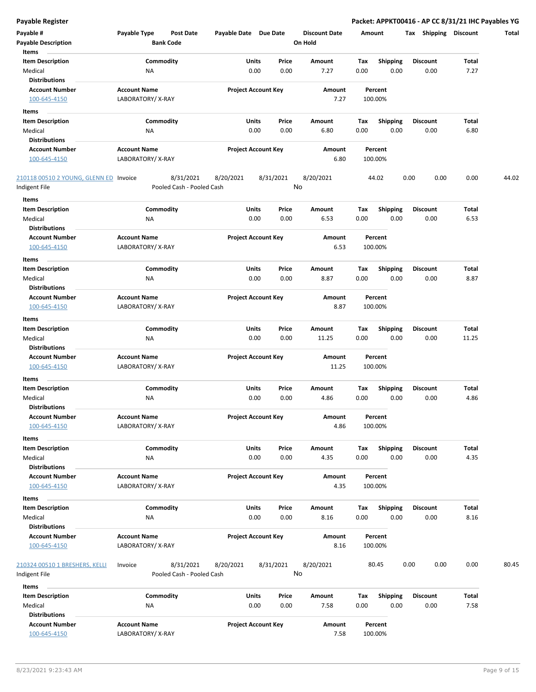| Payable #                              | Payable Type        | <b>Post Date</b>          | Payable Date Due Date |                            | <b>Discount Date</b> |      | Amount          | Shipping<br>Tax | <b>Discount</b> | Total |
|----------------------------------------|---------------------|---------------------------|-----------------------|----------------------------|----------------------|------|-----------------|-----------------|-----------------|-------|
| <b>Payable Description</b>             |                     | <b>Bank Code</b>          |                       |                            | On Hold              |      |                 |                 |                 |       |
| Items                                  |                     |                           |                       |                            |                      |      |                 |                 |                 |       |
| <b>Item Description</b>                |                     | Commodity                 |                       | Units<br>Price             | Amount               | Tax  | <b>Shipping</b> | <b>Discount</b> | <b>Total</b>    |       |
| Medical                                | NA                  |                           |                       | 0.00<br>0.00               | 7.27                 | 0.00 | 0.00            | 0.00            | 7.27            |       |
| <b>Distributions</b>                   |                     |                           |                       |                            |                      |      |                 |                 |                 |       |
| <b>Account Number</b>                  | <b>Account Name</b> |                           |                       | <b>Project Account Key</b> | Amount               |      | Percent         |                 |                 |       |
| 100-645-4150                           | LABORATORY/X-RAY    |                           |                       |                            | 7.27                 |      | 100.00%         |                 |                 |       |
|                                        |                     |                           |                       |                            |                      |      |                 |                 |                 |       |
| Items                                  |                     |                           |                       |                            |                      |      |                 |                 |                 |       |
| <b>Item Description</b>                |                     | Commodity                 |                       | Units<br>Price             | Amount               | Tax  | <b>Shipping</b> | <b>Discount</b> | Total           |       |
| Medical                                | NA                  |                           |                       | 0.00<br>0.00               | 6.80                 | 0.00 | 0.00            | 0.00            | 6.80            |       |
| <b>Distributions</b>                   |                     |                           |                       |                            |                      |      |                 |                 |                 |       |
| <b>Account Number</b>                  | <b>Account Name</b> |                           |                       | <b>Project Account Key</b> | Amount               |      | Percent         |                 |                 |       |
| 100-645-4150                           | LABORATORY/X-RAY    |                           |                       |                            | 6.80                 |      | 100.00%         |                 |                 |       |
|                                        |                     |                           |                       |                            |                      |      |                 |                 |                 |       |
| 210118 00510 2 YOUNG, GLENN ED Invoice |                     | 8/31/2021                 | 8/20/2021             | 8/31/2021                  | 8/20/2021            |      | 44.02           | 0.00<br>0.00    | 0.00            | 44.02 |
| Indigent File                          |                     | Pooled Cash - Pooled Cash |                       |                            | No                   |      |                 |                 |                 |       |
| Items                                  |                     |                           |                       |                            |                      |      |                 |                 |                 |       |
|                                        |                     |                           |                       | Units                      |                      |      |                 |                 | <b>Total</b>    |       |
| <b>Item Description</b>                |                     | Commodity                 |                       | Price                      | Amount               | Tax  | <b>Shipping</b> | <b>Discount</b> |                 |       |
| Medical                                | ΝA                  |                           |                       | 0.00<br>0.00               | 6.53                 | 0.00 | 0.00            | 0.00            | 6.53            |       |
| <b>Distributions</b>                   |                     |                           |                       |                            |                      |      |                 |                 |                 |       |
| <b>Account Number</b>                  | <b>Account Name</b> |                           |                       | <b>Project Account Key</b> | Amount               |      | Percent         |                 |                 |       |
| 100-645-4150                           | LABORATORY/X-RAY    |                           |                       |                            | 6.53                 |      | 100.00%         |                 |                 |       |
| Items                                  |                     |                           |                       |                            |                      |      |                 |                 |                 |       |
| <b>Item Description</b>                |                     | Commodity                 |                       | Units<br>Price             | Amount               | Тах  | <b>Shipping</b> | <b>Discount</b> | Total           |       |
| Medical                                | ΝA                  |                           |                       | 0.00<br>0.00               | 8.87                 | 0.00 | 0.00            | 0.00            | 8.87            |       |
| <b>Distributions</b>                   |                     |                           |                       |                            |                      |      |                 |                 |                 |       |
|                                        |                     |                           |                       | <b>Project Account Key</b> |                      |      |                 |                 |                 |       |
| <b>Account Number</b>                  | <b>Account Name</b> |                           |                       |                            | Amount               |      | Percent         |                 |                 |       |
| 100-645-4150                           | LABORATORY/X-RAY    |                           |                       |                            | 8.87                 |      | 100.00%         |                 |                 |       |
| Items                                  |                     |                           |                       |                            |                      |      |                 |                 |                 |       |
| <b>Item Description</b>                |                     | Commodity                 |                       | Units<br>Price             | Amount               | Tax  | <b>Shipping</b> | <b>Discount</b> | <b>Total</b>    |       |
| Medical                                | NA                  |                           |                       | 0.00<br>0.00               | 11.25                | 0.00 | 0.00            | 0.00            | 11.25           |       |
| <b>Distributions</b>                   |                     |                           |                       |                            |                      |      |                 |                 |                 |       |
| <b>Account Number</b>                  | <b>Account Name</b> |                           |                       | <b>Project Account Key</b> | Amount               |      | Percent         |                 |                 |       |
| 100-645-4150                           | LABORATORY/X-RAY    |                           |                       |                            | 11.25                |      | 100.00%         |                 |                 |       |
|                                        |                     |                           |                       |                            |                      |      |                 |                 |                 |       |
| Items                                  |                     |                           |                       |                            |                      |      |                 |                 |                 |       |
| <b>Item Description</b>                |                     | Commodity                 |                       | Units<br>Price             | Amount               | Tax  | <b>Shipping</b> | <b>Discount</b> | <b>Total</b>    |       |
| Medical                                | NA                  |                           |                       | 0.00<br>0.00               | 4.86                 | 0.00 | 0.00            | 0.00            | 4.86            |       |
| <b>Distributions</b>                   |                     |                           |                       |                            |                      |      |                 |                 |                 |       |
| <b>Account Number</b>                  | <b>Account Name</b> |                           |                       | <b>Project Account Key</b> | Amount               |      | Percent         |                 |                 |       |
| 100-645-4150                           | LABORATORY/X-RAY    |                           |                       |                            | 4.86                 |      | 100.00%         |                 |                 |       |
| Items                                  |                     |                           |                       |                            |                      |      |                 |                 |                 |       |
| <b>Item Description</b>                |                     | Commodity                 |                       | <b>Units</b><br>Price      | Amount               | Tax  | <b>Shipping</b> | <b>Discount</b> | Total           |       |
| Medical                                | NA                  |                           |                       | 0.00<br>0.00               | 4.35                 | 0.00 | 0.00            | 0.00            | 4.35            |       |
| <b>Distributions</b>                   |                     |                           |                       |                            |                      |      |                 |                 |                 |       |
| <b>Account Number</b>                  | <b>Account Name</b> |                           |                       | <b>Project Account Key</b> | Amount               |      | Percent         |                 |                 |       |
|                                        | LABORATORY/X-RAY    |                           |                       |                            |                      |      |                 |                 |                 |       |
| 100-645-4150                           |                     |                           |                       |                            | 4.35                 |      | 100.00%         |                 |                 |       |
| Items                                  |                     |                           |                       |                            |                      |      |                 |                 |                 |       |
| <b>Item Description</b>                |                     | Commodity                 |                       | Units<br>Price             | Amount               | Tax  | <b>Shipping</b> | <b>Discount</b> | Total           |       |
| Medical                                | <b>NA</b>           |                           |                       | 0.00<br>0.00               | 8.16                 | 0.00 | 0.00            | 0.00            | 8.16            |       |
| <b>Distributions</b>                   |                     |                           |                       |                            |                      |      |                 |                 |                 |       |
| <b>Account Number</b>                  | <b>Account Name</b> |                           |                       | <b>Project Account Key</b> | Amount               |      | Percent         |                 |                 |       |
| 100-645-4150                           | LABORATORY/X-RAY    |                           |                       |                            | 8.16                 |      | 100.00%         |                 |                 |       |
|                                        |                     |                           |                       |                            |                      |      |                 |                 |                 |       |
| 210324 00510 1 BRESHERS, KELLI         | Invoice             | 8/31/2021                 | 8/20/2021             | 8/31/2021                  | 8/20/2021            |      | 80.45           | 0.00<br>0.00    | 0.00            | 80.45 |
| Indigent File                          |                     | Pooled Cash - Pooled Cash |                       |                            | No                   |      |                 |                 |                 |       |
|                                        |                     |                           |                       |                            |                      |      |                 |                 |                 |       |
| Items                                  |                     |                           |                       |                            |                      |      |                 |                 |                 |       |
| <b>Item Description</b>                |                     | Commodity                 |                       | Units<br>Price             | Amount               | Tax  | <b>Shipping</b> | <b>Discount</b> | Total           |       |
| Medical                                | NA                  |                           |                       | 0.00<br>0.00               | 7.58                 | 0.00 | 0.00            | 0.00            | 7.58            |       |
| <b>Distributions</b>                   |                     |                           |                       |                            |                      |      |                 |                 |                 |       |
| <b>Account Number</b>                  | <b>Account Name</b> |                           |                       | <b>Project Account Key</b> | Amount               |      | Percent         |                 |                 |       |
| 100-645-4150                           | LABORATORY/X-RAY    |                           |                       |                            | 7.58                 |      | 100.00%         |                 |                 |       |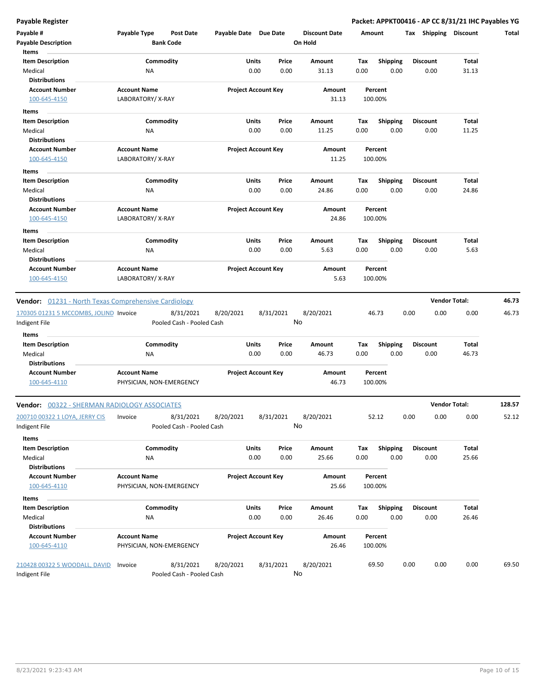| Payable #                                            | Payable Type             |                  | <b>Post Date</b>                       | Payable Date Due Date      |               |               | <b>Discount Date</b> | Amount      |                         | Tax  | <b>Shipping</b>  | <b>Discount</b>      | Total  |
|------------------------------------------------------|--------------------------|------------------|----------------------------------------|----------------------------|---------------|---------------|----------------------|-------------|-------------------------|------|------------------|----------------------|--------|
| <b>Payable Description</b>                           |                          | <b>Bank Code</b> |                                        |                            |               |               | On Hold              |             |                         |      |                  |                      |        |
| Items                                                |                          |                  |                                        |                            |               |               |                      |             |                         |      |                  |                      |        |
| <b>Item Description</b><br>Medical                   | ΝA                       | Commodity        |                                        |                            | Units<br>0.00 | Price<br>0.00 | Amount<br>31.13      | Tax<br>0.00 | <b>Shipping</b><br>0.00 |      | Discount<br>0.00 | Total<br>31.13       |        |
| <b>Distributions</b>                                 |                          |                  |                                        |                            |               |               |                      |             |                         |      |                  |                      |        |
| <b>Account Number</b>                                | <b>Account Name</b>      |                  |                                        | <b>Project Account Key</b> |               |               | Amount               |             | Percent                 |      |                  |                      |        |
| 100-645-4150                                         | LABORATORY/X-RAY         |                  |                                        |                            |               |               | 31.13                |             | 100.00%                 |      |                  |                      |        |
| Items                                                |                          |                  |                                        |                            |               |               |                      |             |                         |      |                  |                      |        |
| <b>Item Description</b>                              |                          | Commodity        |                                        |                            | Units         | Price         | Amount               | Тах         | <b>Shipping</b>         |      | Discount         | <b>Total</b>         |        |
| Medical                                              | ΝA                       |                  |                                        |                            | 0.00          | 0.00          | 11.25                | 0.00        | 0.00                    |      | 0.00             | 11.25                |        |
| <b>Distributions</b>                                 |                          |                  |                                        |                            |               |               |                      |             |                         |      |                  |                      |        |
| <b>Account Number</b>                                | <b>Account Name</b>      |                  |                                        | <b>Project Account Key</b> |               |               | Amount               |             | Percent                 |      |                  |                      |        |
| 100-645-4150                                         | LABORATORY/X-RAY         |                  |                                        |                            |               |               | 11.25                |             | 100.00%                 |      |                  |                      |        |
| Items                                                |                          |                  |                                        |                            |               |               |                      |             |                         |      |                  |                      |        |
| <b>Item Description</b>                              |                          | Commodity        |                                        |                            | Units         | Price         | Amount               | Tax         | <b>Shipping</b>         |      | <b>Discount</b>  | Total                |        |
| Medical                                              | NA                       |                  |                                        |                            | 0.00          | 0.00          | 24.86                | 0.00        | 0.00                    |      | 0.00             | 24.86                |        |
| <b>Distributions</b>                                 |                          |                  |                                        |                            |               |               |                      |             |                         |      |                  |                      |        |
| <b>Account Number</b>                                | <b>Account Name</b>      |                  |                                        | <b>Project Account Key</b> |               |               | Amount               |             | Percent                 |      |                  |                      |        |
| 100-645-4150                                         | LABORATORY/X-RAY         |                  |                                        |                            |               |               | 24.86                |             | 100.00%                 |      |                  |                      |        |
| Items                                                |                          |                  |                                        |                            |               |               |                      |             |                         |      |                  |                      |        |
| <b>Item Description</b>                              |                          | Commodity        |                                        |                            | Units         | Price         | Amount               | Tax         | <b>Shipping</b>         |      | Discount         | <b>Total</b>         |        |
| Medical                                              | ΝA                       |                  |                                        |                            | 0.00          | 0.00          | 5.63                 | 0.00        | 0.00                    |      | 0.00             | 5.63                 |        |
| <b>Distributions</b>                                 |                          |                  |                                        |                            |               |               |                      |             |                         |      |                  |                      |        |
| <b>Account Number</b>                                | <b>Account Name</b>      |                  |                                        | <b>Project Account Key</b> |               |               | Amount               |             | Percent                 |      |                  |                      |        |
| 100-645-4150                                         | LABORATORY/X-RAY         |                  |                                        |                            |               |               | 5.63                 |             | 100.00%                 |      |                  |                      |        |
| Vendor: 01231 - North Texas Comprehensive Cardiology |                          |                  |                                        |                            |               |               |                      |             |                         |      |                  | <b>Vendor Total:</b> | 46.73  |
| 170305 01231 5 MCCOMBS, JOLIND Invoice               |                          |                  | 8/31/2021                              | 8/20/2021                  |               | 8/31/2021     | 8/20/2021            |             | 46.73                   | 0.00 | 0.00             | 0.00                 | 46.73  |
| Indigent File                                        |                          |                  | Pooled Cash - Pooled Cash              |                            |               |               | No                   |             |                         |      |                  |                      |        |
|                                                      |                          |                  |                                        |                            |               |               |                      |             |                         |      |                  |                      |        |
| Items<br><b>Item Description</b>                     |                          | Commodity        |                                        |                            | <b>Units</b>  | Price         | Amount               | Tax         | <b>Shipping</b>         |      | Discount         | Total                |        |
| Medical                                              | ΝA                       |                  |                                        |                            | 0.00          | 0.00          | 46.73                | 0.00        | 0.00                    |      | 0.00             | 46.73                |        |
| <b>Distributions</b>                                 |                          |                  |                                        |                            |               |               |                      |             |                         |      |                  |                      |        |
| <b>Account Number</b>                                | <b>Account Name</b>      |                  |                                        | <b>Project Account Key</b> |               |               | Amount               |             | Percent                 |      |                  |                      |        |
| 100-645-4110                                         | PHYSICIAN, NON-EMERGENCY |                  |                                        |                            |               |               | 46.73                |             | 100.00%                 |      |                  |                      |        |
|                                                      |                          |                  |                                        |                            |               |               |                      |             |                         |      |                  | <b>Vendor Total:</b> |        |
| <b>Vendor: 00322 - SHERMAN RADIOLOGY ASSOCIATES</b>  |                          |                  |                                        |                            |               |               |                      |             |                         |      |                  |                      | 128.57 |
| 200710 00322 1 LOYA, JERRY CIS                       | Invoice                  |                  | 8/31/2021                              | 8/20/2021                  |               | 8/31/2021     | 8/20/2021<br>No      |             | 52.12                   | 0.00 | 0.00             | 0.00                 | 52.12  |
| Indigent File                                        |                          |                  | Pooled Cash - Pooled Cash              |                            |               |               |                      |             |                         |      |                  |                      |        |
| Items                                                |                          |                  |                                        |                            |               |               |                      |             |                         |      |                  |                      |        |
| <b>Item Description</b>                              |                          | Commodity        |                                        |                            | Units         | Price         | Amount               | Tax         | Shipping                |      | <b>Discount</b>  | Total                |        |
| Medical<br><b>Distributions</b>                      | NA                       |                  |                                        |                            | 0.00          | 0.00          | 25.66                | 0.00        | 0.00                    |      | 0.00             | 25.66                |        |
| <b>Account Number</b>                                | <b>Account Name</b>      |                  |                                        | <b>Project Account Key</b> |               |               | Amount               |             | Percent                 |      |                  |                      |        |
| 100-645-4110                                         | PHYSICIAN, NON-EMERGENCY |                  |                                        |                            |               |               | 25.66                |             | 100.00%                 |      |                  |                      |        |
|                                                      |                          |                  |                                        |                            |               |               |                      |             |                         |      |                  |                      |        |
| Items                                                |                          |                  |                                        |                            |               |               |                      |             |                         |      | <b>Discount</b>  | Total                |        |
| <b>Item Description</b><br>Medical                   | <b>NA</b>                | Commodity        |                                        |                            | Units<br>0.00 | Price<br>0.00 | Amount<br>26.46      | Tax<br>0.00 | <b>Shipping</b><br>0.00 |      | 0.00             | 26.46                |        |
| <b>Distributions</b>                                 |                          |                  |                                        |                            |               |               |                      |             |                         |      |                  |                      |        |
| <b>Account Number</b>                                | <b>Account Name</b>      |                  |                                        | <b>Project Account Key</b> |               |               | Amount               |             | Percent                 |      |                  |                      |        |
| 100-645-4110                                         | PHYSICIAN, NON-EMERGENCY |                  |                                        |                            |               |               | 26.46                |             | 100.00%                 |      |                  |                      |        |
|                                                      |                          |                  |                                        |                            |               | 8/31/2021     | 8/20/2021            |             |                         |      |                  |                      |        |
| 210428 00322 5 WOODALL, DAVID<br>Indigent File       | Invoice                  |                  | 8/31/2021<br>Pooled Cash - Pooled Cash | 8/20/2021                  |               |               | No                   |             | 69.50                   | 0.00 | 0.00             | 0.00                 | 69.50  |
|                                                      |                          |                  |                                        |                            |               |               |                      |             |                         |      |                  |                      |        |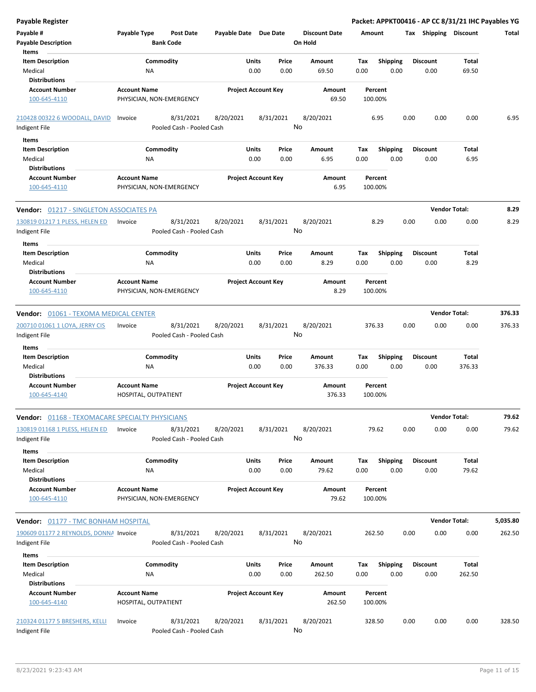| <b>Payable Register</b>                                |                                                 |                           |                       |                                |                                 |             |                         | Packet: APPKT00416 - AP CC 8/31/21 IHC Payables YG |                      |          |
|--------------------------------------------------------|-------------------------------------------------|---------------------------|-----------------------|--------------------------------|---------------------------------|-------------|-------------------------|----------------------------------------------------|----------------------|----------|
| Payable #<br><b>Payable Description</b>                | Payable Type<br><b>Bank Code</b>                | <b>Post Date</b>          | Payable Date Due Date |                                | <b>Discount Date</b><br>On Hold | Amount      |                         | Tax Shipping Discount                              |                      | Total    |
| Items                                                  |                                                 |                           |                       |                                |                                 |             |                         |                                                    |                      |          |
| <b>Item Description</b>                                | Commodity                                       |                           |                       | Units<br>Price                 | Amount                          | Tax         | <b>Shipping</b>         | <b>Discount</b>                                    | <b>Total</b>         |          |
| Medical                                                | ΝA                                              |                           |                       | 0.00<br>0.00                   | 69.50                           | 0.00        | 0.00                    | 0.00                                               | 69.50                |          |
| <b>Distributions</b>                                   |                                                 |                           |                       |                                |                                 |             |                         |                                                    |                      |          |
| <b>Account Number</b>                                  | <b>Account Name</b>                             |                           |                       | <b>Project Account Key</b>     | Amount                          |             | Percent                 |                                                    |                      |          |
| 100-645-4110                                           | PHYSICIAN, NON-EMERGENCY                        |                           |                       |                                | 69.50                           |             | 100.00%                 |                                                    |                      |          |
| 210428 00322 6 WOODALL, DAVID                          | Invoice                                         | 8/31/2021                 | 8/20/2021             | 8/31/2021                      | 8/20/2021                       |             | 6.95                    | 0.00<br>0.00                                       | 0.00                 | 6.95     |
| Indigent File                                          |                                                 | Pooled Cash - Pooled Cash |                       |                                | No                              |             |                         |                                                    |                      |          |
| Items                                                  |                                                 |                           |                       |                                |                                 |             |                         |                                                    |                      |          |
| <b>Item Description</b>                                | Commodity                                       |                           |                       | Units<br>Price                 | Amount                          | Tax         | <b>Shipping</b>         | <b>Discount</b>                                    | Total                |          |
| Medical                                                | NA                                              |                           |                       | 0.00<br>0.00                   | 6.95                            | 0.00        | 0.00                    | 0.00                                               | 6.95                 |          |
| <b>Distributions</b>                                   |                                                 |                           |                       |                                |                                 |             |                         |                                                    |                      |          |
| <b>Account Number</b>                                  | <b>Account Name</b>                             |                           |                       | <b>Project Account Key</b>     | Amount                          |             | Percent                 |                                                    |                      |          |
| 100-645-4110                                           | PHYSICIAN, NON-EMERGENCY                        |                           |                       |                                | 6.95                            |             | 100.00%                 |                                                    |                      |          |
| Vendor: 01217 - SINGLETON ASSOCIATES PA                |                                                 |                           |                       |                                |                                 |             |                         |                                                    | <b>Vendor Total:</b> | 8.29     |
| 130819 01217 1 PLESS, HELEN ED                         | Invoice                                         | 8/31/2021                 | 8/20/2021             | 8/31/2021                      | 8/20/2021                       |             | 8.29                    | 0.00<br>0.00                                       | 0.00                 | 8.29     |
| Indigent File                                          |                                                 | Pooled Cash - Pooled Cash |                       |                                | No                              |             |                         |                                                    |                      |          |
|                                                        |                                                 |                           |                       |                                |                                 |             |                         |                                                    |                      |          |
| Items                                                  |                                                 |                           |                       |                                |                                 |             |                         |                                                    |                      |          |
| <b>Item Description</b>                                | Commodity                                       |                           |                       | Units<br>Price                 | Amount                          | Tax         | <b>Shipping</b>         | <b>Discount</b>                                    | Total                |          |
| Medical                                                | NA                                              |                           |                       | 0.00<br>0.00                   | 8.29                            | 0.00        | 0.00                    | 0.00                                               | 8.29                 |          |
| <b>Distributions</b>                                   |                                                 |                           |                       |                                |                                 |             |                         |                                                    |                      |          |
| <b>Account Number</b><br>100-645-4110                  | <b>Account Name</b><br>PHYSICIAN, NON-EMERGENCY |                           |                       | <b>Project Account Key</b>     | Amount<br>8.29                  |             | Percent<br>100.00%      |                                                    |                      |          |
| Vendor: 01061 - TEXOMA MEDICAL CENTER                  |                                                 |                           |                       |                                |                                 |             |                         |                                                    | <b>Vendor Total:</b> | 376.33   |
| 200710 01061 1 LOYA, JERRY CIS                         | Invoice                                         | 8/31/2021                 | 8/20/2021             | 8/31/2021                      | 8/20/2021                       |             | 376.33                  | 0.00<br>0.00                                       | 0.00                 | 376.33   |
|                                                        |                                                 | Pooled Cash - Pooled Cash |                       |                                | No                              |             |                         |                                                    |                      |          |
| Indigent File                                          |                                                 |                           |                       |                                |                                 |             |                         |                                                    |                      |          |
| <b>Items</b>                                           |                                                 |                           |                       |                                |                                 |             |                         |                                                    |                      |          |
| <b>Item Description</b>                                | Commodity                                       |                           |                       | Units<br>Price                 | Amount                          | Tax         | <b>Shipping</b>         | <b>Discount</b>                                    | Total                |          |
| Medical                                                | NA                                              |                           |                       | 0.00<br>0.00                   | 376.33                          | 0.00        | 0.00                    | 0.00                                               | 376.33               |          |
| <b>Distributions</b>                                   |                                                 |                           |                       |                                |                                 |             |                         |                                                    |                      |          |
| <b>Account Number</b><br>100-645-4140                  | <b>Account Name</b><br>HOSPITAL, OUTPATIENT     |                           |                       | <b>Project Account Key</b>     | Amount<br>376.33                |             | Percent<br>100.00%      |                                                    |                      |          |
| <b>Vendor: 01168 - TEXOMACARE SPECIALTY PHYSICIANS</b> |                                                 |                           |                       |                                |                                 |             |                         |                                                    | <b>Vendor Total:</b> | 79.62    |
| 130819 01168 1 PLESS, HELEN ED                         | Invoice                                         | 8/31/2021                 | 8/20/2021             | 8/31/2021                      | 8/20/2021                       |             | 79.62                   | 0.00<br>0.00                                       | 0.00                 | 79.62    |
| Indigent File                                          |                                                 | Pooled Cash - Pooled Cash |                       |                                | No                              |             |                         |                                                    |                      |          |
| Items                                                  |                                                 |                           |                       |                                |                                 |             |                         |                                                    |                      |          |
| <b>Item Description</b><br>Medical                     | Commodity<br>ΝA                                 |                           |                       | Units<br>Price<br>0.00<br>0.00 | Amount<br>79.62                 | Tax<br>0.00 | <b>Shipping</b><br>0.00 | <b>Discount</b><br>0.00                            | Total<br>79.62       |          |
| <b>Distributions</b><br><b>Account Number</b>          | <b>Account Name</b>                             |                           |                       | <b>Project Account Key</b>     | Amount                          |             | Percent                 |                                                    |                      |          |
| 100-645-4110                                           | PHYSICIAN, NON-EMERGENCY                        |                           |                       |                                | 79.62                           |             | 100.00%                 |                                                    |                      |          |
| <b>Vendor: 01177 - TMC BONHAM HOSPITAL</b>             |                                                 |                           |                       |                                |                                 |             |                         |                                                    | <b>Vendor Total:</b> | 5,035.80 |
| 190609 01177 2 REYNOLDS, DONNA Invoice                 |                                                 | 8/31/2021                 | 8/20/2021             | 8/31/2021                      | 8/20/2021                       |             | 262.50                  | 0.00<br>0.00                                       | 0.00                 | 262.50   |
| Indigent File                                          |                                                 | Pooled Cash - Pooled Cash |                       |                                | No                              |             |                         |                                                    |                      |          |
| Items                                                  |                                                 |                           |                       |                                |                                 |             |                         |                                                    |                      |          |
| <b>Item Description</b>                                | Commodity                                       |                           |                       | Units<br>Price                 | Amount                          | Tax         | <b>Shipping</b>         | <b>Discount</b>                                    | <b>Total</b>         |          |
| Medical                                                | ΝA                                              |                           |                       | 0.00<br>0.00                   | 262.50                          | 0.00        | 0.00                    | 0.00                                               | 262.50               |          |
| <b>Distributions</b>                                   |                                                 |                           |                       |                                |                                 |             |                         |                                                    |                      |          |
| <b>Account Number</b><br>100-645-4140                  | <b>Account Name</b><br>HOSPITAL, OUTPATIENT     |                           |                       | <b>Project Account Key</b>     | Amount<br>262.50                |             | Percent<br>100.00%      |                                                    |                      |          |
| 210324 01177 5 BRESHERS, KELLI                         | Invoice                                         | 8/31/2021                 | 8/20/2021             | 8/31/2021                      | 8/20/2021                       |             | 328.50                  | 0.00<br>0.00                                       | 0.00                 | 328.50   |
| Indigent File                                          |                                                 | Pooled Cash - Pooled Cash |                       |                                | No                              |             |                         |                                                    |                      |          |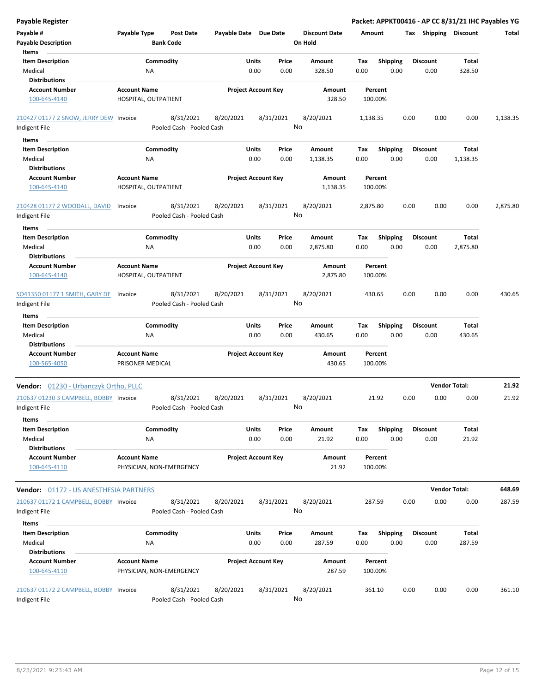| <b>Payable Register</b>                                 |                                             |                                        |                            |               |               |                                 |             |                         |      |                         |                      | Packet: APPKT00416 - AP CC 8/31/21 IHC Payables YG |
|---------------------------------------------------------|---------------------------------------------|----------------------------------------|----------------------------|---------------|---------------|---------------------------------|-------------|-------------------------|------|-------------------------|----------------------|----------------------------------------------------|
| Payable #<br><b>Payable Description</b>                 | Payable Type                                | <b>Post Date</b><br><b>Bank Code</b>   | Payable Date Due Date      |               |               | <b>Discount Date</b><br>On Hold | Amount      |                         |      | Tax Shipping Discount   |                      | Total                                              |
| Items                                                   |                                             |                                        |                            |               |               |                                 |             |                         |      |                         |                      |                                                    |
| <b>Item Description</b>                                 |                                             | Commodity                              |                            | Units         | Price         | Amount                          | Tax         | <b>Shipping</b>         |      | <b>Discount</b>         | Total                |                                                    |
| Medical<br><b>Distributions</b>                         | NA                                          |                                        |                            | 0.00          | 0.00          | 328.50                          | 0.00        | 0.00                    |      | 0.00                    | 328.50               |                                                    |
| Account Number                                          | <b>Account Name</b>                         |                                        | <b>Project Account Key</b> |               |               | Amount                          |             | Percent                 |      |                         |                      |                                                    |
| 100-645-4140                                            | HOSPITAL, OUTPATIENT                        |                                        |                            |               |               | 328.50                          |             | 100.00%                 |      |                         |                      |                                                    |
| 210427 01177 2 SNOW, JERRY DEW Invoice                  |                                             | 8/31/2021                              | 8/20/2021                  |               | 8/31/2021     | 8/20/2021                       | 1,138.35    |                         | 0.00 | 0.00                    | 0.00                 | 1,138.35                                           |
| Indigent File                                           |                                             | Pooled Cash - Pooled Cash              |                            |               |               | No                              |             |                         |      |                         |                      |                                                    |
| Items                                                   |                                             |                                        |                            |               |               |                                 |             |                         |      |                         |                      |                                                    |
| <b>Item Description</b>                                 |                                             | Commodity                              |                            | Units         | Price         | Amount                          | Tax         | <b>Shipping</b>         |      | <b>Discount</b>         | Total                |                                                    |
| Medical                                                 | ΝA                                          |                                        |                            | 0.00          | 0.00          | 1,138.35                        | 0.00        | 0.00                    |      | 0.00                    | 1,138.35             |                                                    |
| <b>Distributions</b>                                    |                                             |                                        |                            |               |               |                                 |             |                         |      |                         |                      |                                                    |
| <b>Account Number</b><br>100-645-4140                   | <b>Account Name</b><br>HOSPITAL, OUTPATIENT |                                        | <b>Project Account Key</b> |               |               | Amount<br>1,138.35              |             | Percent<br>100.00%      |      |                         |                      |                                                    |
| 210428 01177 2 WOODALL, DAVID<br>Indigent File          | Invoice                                     | 8/31/2021<br>Pooled Cash - Pooled Cash | 8/20/2021                  |               | 8/31/2021     | 8/20/2021<br>No                 | 2,875.80    |                         | 0.00 | 0.00                    | 0.00                 | 2,875.80                                           |
| Items                                                   |                                             |                                        |                            |               |               |                                 |             |                         |      |                         |                      |                                                    |
| <b>Item Description</b><br>Medical                      | ΝA                                          | Commodity                              |                            | Units<br>0.00 | Price<br>0.00 | Amount<br>2,875.80              | Tax<br>0.00 | <b>Shipping</b><br>0.00 |      | <b>Discount</b><br>0.00 | Total<br>2,875.80    |                                                    |
| <b>Distributions</b>                                    |                                             |                                        |                            |               |               |                                 |             |                         |      |                         |                      |                                                    |
| <b>Account Number</b><br>100-645-4140                   | <b>Account Name</b><br>HOSPITAL, OUTPATIENT |                                        | <b>Project Account Key</b> |               |               | Amount<br>2,875.80              |             | Percent<br>100.00%      |      |                         |                      |                                                    |
| SO41350 01177 1 SMITH, GARY DE<br>Indigent File         | Invoice                                     | 8/31/2021<br>Pooled Cash - Pooled Cash | 8/20/2021                  |               | 8/31/2021     | 8/20/2021<br>No                 |             | 430.65                  | 0.00 | 0.00                    | 0.00                 | 430.65                                             |
|                                                         |                                             |                                        |                            |               |               |                                 |             |                         |      |                         |                      |                                                    |
| Items                                                   |                                             |                                        |                            |               |               |                                 |             |                         |      |                         |                      |                                                    |
| <b>Item Description</b>                                 |                                             | Commodity                              |                            | Units         | Price         | Amount                          | Tax         | <b>Shipping</b>         |      | <b>Discount</b>         | Total                |                                                    |
| Medical                                                 | NA                                          |                                        |                            | 0.00          | 0.00          | 430.65                          | 0.00        | 0.00                    |      | 0.00                    | 430.65               |                                                    |
| <b>Distributions</b>                                    |                                             |                                        |                            |               |               |                                 |             |                         |      |                         |                      |                                                    |
| <b>Account Number</b><br>100-565-4050                   | <b>Account Name</b><br>PRISONER MEDICAL     |                                        | <b>Project Account Key</b> |               |               | Amount<br>430.65                |             | Percent<br>100.00%      |      |                         |                      |                                                    |
| Vendor: 01230 - Urbanczyk Ortho, PLLC                   |                                             |                                        |                            |               |               |                                 |             |                         |      |                         | <b>Vendor Total:</b> | 21.92                                              |
| 210637 01230 3 CAMPBELL, BOBBY Invoice<br>Indigent File |                                             | 8/31/2021<br>Pooled Cash - Pooled Cash | 8/20/2021                  |               | 8/31/2021     | 8/20/2021<br>No                 |             | 21.92                   | 0.00 | 0.00                    | 0.00                 | 21.92                                              |
| Items                                                   |                                             |                                        |                            |               |               |                                 |             |                         |      |                         |                      |                                                    |
| <b>Item Description</b>                                 |                                             | Commodity                              |                            | Units         | Price         | Amount                          | Tax         | <b>Shipping</b>         |      | Discount                | Total                |                                                    |
| Medical                                                 | ΝA                                          |                                        |                            | 0.00          | 0.00          | 21.92                           | 0.00        | 0.00                    |      | 0.00                    | 21.92                |                                                    |
| <b>Distributions</b><br>Account Number                  | <b>Account Name</b>                         |                                        | <b>Project Account Key</b> |               |               | Amount                          |             | Percent                 |      |                         |                      |                                                    |
| 100-645-4110                                            |                                             | PHYSICIAN, NON-EMERGENCY               |                            |               |               | 21.92                           |             | 100.00%                 |      |                         |                      |                                                    |
| <b>Vendor: 01172 - US ANESTHESIA PARTNERS</b>           |                                             |                                        |                            |               |               |                                 |             |                         |      |                         | <b>Vendor Total:</b> | 648.69                                             |
| 210637 01172 1 CAMPBELL, BOBBY Invoice                  |                                             | 8/31/2021                              | 8/20/2021                  |               | 8/31/2021     | 8/20/2021                       |             | 287.59                  | 0.00 | 0.00                    | 0.00                 | 287.59                                             |
| Indigent File                                           |                                             | Pooled Cash - Pooled Cash              |                            |               |               | No                              |             |                         |      |                         |                      |                                                    |
| Items                                                   |                                             |                                        |                            |               |               |                                 |             |                         |      |                         |                      |                                                    |
| <b>Item Description</b>                                 |                                             | Commodity                              |                            | Units         | Price         | Amount                          | Tax         | <b>Shipping</b>         |      | <b>Discount</b>         | Total                |                                                    |
| Medical                                                 | NA                                          |                                        |                            | 0.00          | 0.00          | 287.59                          | 0.00        | 0.00                    |      | 0.00                    | 287.59               |                                                    |
| <b>Distributions</b>                                    |                                             |                                        |                            |               |               |                                 |             |                         |      |                         |                      |                                                    |
| Account Number<br>100-645-4110                          | <b>Account Name</b>                         | PHYSICIAN, NON-EMERGENCY               | <b>Project Account Key</b> |               |               | Amount<br>287.59                |             | Percent<br>100.00%      |      |                         |                      |                                                    |
| 210637 01172 2 CAMPBELL, BOBBY Invoice                  |                                             | 8/31/2021                              | 8/20/2021                  |               | 8/31/2021     | 8/20/2021                       |             | 361.10                  | 0.00 | 0.00                    | 0.00                 | 361.10                                             |
| Indigent File                                           |                                             | Pooled Cash - Pooled Cash              |                            |               |               | No                              |             |                         |      |                         |                      |                                                    |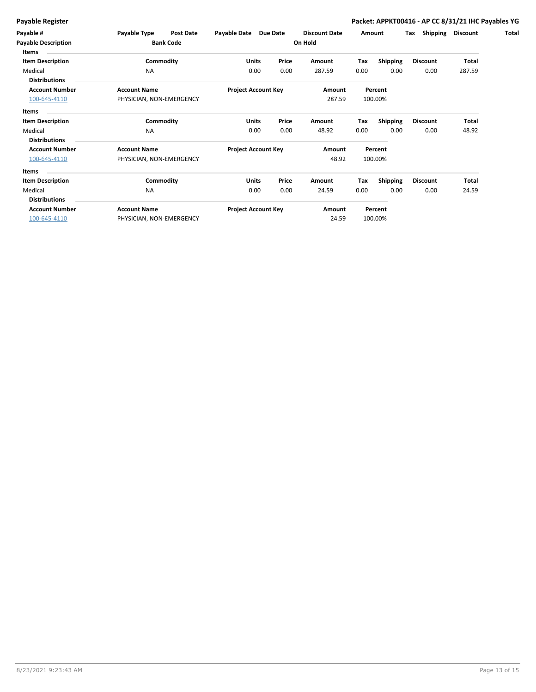| Payable #                           | Payable Type                     | <b>Post Date</b> | Payable Date               | Due Date |                   | <b>Discount Date</b> | Amount  |                 | Tax    | Shipping        | <b>Discount</b> | Total |
|-------------------------------------|----------------------------------|------------------|----------------------------|----------|-------------------|----------------------|---------|-----------------|--------|-----------------|-----------------|-------|
| <b>Payable Description</b><br>Items | <b>Bank Code</b>                 |                  | On Hold                    |          |                   |                      |         |                 |        |                 |                 |       |
| <b>Item Description</b>             |                                  | Commodity        | Units                      | Price    |                   | Amount               | Tax     | <b>Shipping</b> |        | <b>Discount</b> | Total           |       |
| Medical<br><b>Distributions</b>     | <b>NA</b><br><b>Account Name</b> |                  | 0.00                       | 0.00     | 287.59            | 0.00<br>0.00         |         | 0.00            | 287.59 |                 |                 |       |
| <b>Account Number</b>               |                                  |                  | <b>Project Account Key</b> |          | Amount<br>Percent |                      |         |                 |        |                 |                 |       |
| 100-645-4110                        | PHYSICIAN, NON-EMERGENCY         |                  |                            |          |                   | 287.59               | 100.00% |                 |        |                 |                 |       |
| <b>Items</b>                        |                                  |                  |                            |          |                   |                      |         |                 |        |                 |                 |       |
| <b>Item Description</b>             |                                  | Commodity        | Units                      | Price    |                   | Amount               | Tax     | <b>Shipping</b> |        | <b>Discount</b> | Total           |       |
| Medical                             | <b>NA</b>                        |                  | 0.00                       |          | 0.00              | 48.92                | 0.00    | 0.00            |        | 0.00            | 48.92           |       |
| <b>Distributions</b>                |                                  |                  |                            |          |                   |                      |         |                 |        |                 |                 |       |
| <b>Account Number</b>               | <b>Account Name</b>              |                  | <b>Project Account Key</b> |          | Percent<br>Amount |                      |         |                 |        |                 |                 |       |
| 100-645-4110                        | PHYSICIAN, NON-EMERGENCY         |                  |                            |          | 48.92             | 100.00%              |         |                 |        |                 |                 |       |
| Items                               |                                  |                  |                            |          |                   |                      |         |                 |        |                 |                 |       |
| <b>Item Description</b>             |                                  | Commodity        | Units                      | Price    |                   | Amount               | Tax     | <b>Shipping</b> |        | <b>Discount</b> | Total           |       |
| Medical                             | <b>NA</b>                        |                  | 0.00                       |          | 0.00              | 24.59                | 0.00    | 0.00            |        | 0.00            | 24.59           |       |
| <b>Distributions</b>                |                                  |                  |                            |          |                   |                      |         |                 |        |                 |                 |       |
| <b>Account Number</b>               | <b>Account Name</b>              |                  | <b>Project Account Key</b> |          | Amount            | Percent              |         |                 |        |                 |                 |       |
| 100-645-4110                        | PHYSICIAN, NON-EMERGENCY         |                  |                            |          |                   | 24.59                |         | 100.00%         |        |                 |                 |       |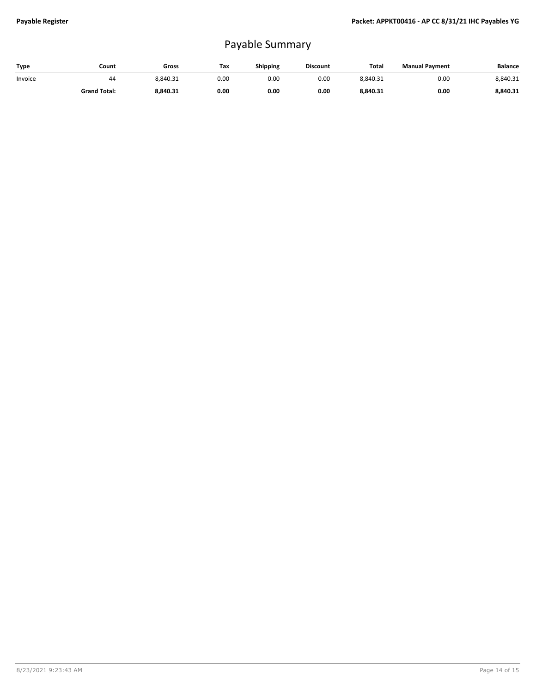## Payable Summary

| Type    | Count               | Gross    | Tax  | Shipping | <b>Discount</b> | <b>Total</b> | <b>Manual Payment</b> | Balance  |
|---------|---------------------|----------|------|----------|-----------------|--------------|-----------------------|----------|
| Invoice | 44                  | 8.840.31 | 0.00 | 0.OC     | 0.00            | 8,840.31     | 0.00                  | 8.840.31 |
|         | <b>Grand Total:</b> | 8,840.31 | 0.00 | 0.00     | 0.00            | 8,840.31     | 0.00                  | 8.840.31 |